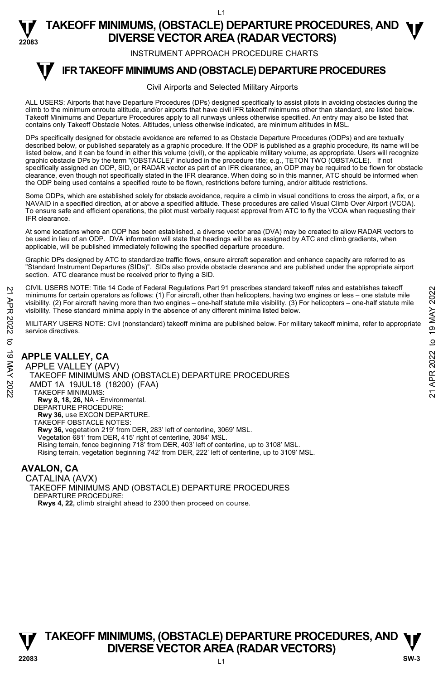**22083 TAKEOFF MINIMUMS, (OBSTACLE) DEPARTURE PROCEDURES, AND <b>W**<br>DIVERSE VECTOR AREA (RADAR VECTORS) **DIVERSE VECTOR AREA (RADAR VECTORS)** 

INSTRUMENT APPROACH PROCEDURE CHARTS

#### **IFR TAKEOFF MINIMUMS AND (OBSTACLE) DEPARTURE PROCEDURES T**

#### Civil Airports and Selected Military Airports

ALL USERS: Airports that have Departure Procedures (DPs) designed specifically to assist pilots in avoiding obstacles during the climb to the minimum enroute altitude, and/or airports that have civil IFR takeoff minimums other than standard, are listed below. Takeoff Minimums and Departure Procedures apply to all runways unless otherwise specified. An entry may also be listed that contains only Takeoff Obstacle Notes. Altitudes, unless otherwise indicated, are minimum altitudes in MSL.

DPs specifically designed for obstacle avoidance are referred to as Obstacle Departure Procedures (ODPs) and are textually described below, or published separately as a graphic procedure. If the ODP is published as a graphic procedure, its name will be listed below, and it can be found in either this volume (civil), or the applicable military volume, as appropriate. Users will recognize graphic obstacle DPs by the term "(OBSTACLE)" included in the procedure title; e.g., TETON TWO (OBSTACLE). If not specifically assigned an ODP, SID, or RADAR vector as part of an IFR clearance, an ODP may be required to be flown for obstacle clearance, even though not specifically stated in the IFR clearance. When doing so in this manner, ATC should be informed when the ODP being used contains a specified route to be flown, restrictions before turning, and/or altitude restrictions.

Some ODPs, which are established solely for obstacle avoidance, require a climb in visual conditions to cross the airport, a fix, or a NAVAID in a specified direction, at or above a specified altitude. These procedures are called Visual Climb Over Airport (VCOA). To ensure safe and efficient operations, the pilot must verbally request approval from ATC to fly the VCOA when requesting their IFR clearance.

At some locations where an ODP has been established, a diverse vector area (DVA) may be created to allow RADAR vectors to be used in lieu of an ODP. DVA information will state that headings will be as assigned by ATC and climb gradients, when applicable, will be published immediately following the specified departure procedure.

Graphic DPs designed by ATC to standardize traffic flows, ensure aircraft separation and enhance capacity are referred to as "Standard Instrument Departures (SIDs)". SIDs also provide obstacle clearance and are published under the appropriate airport section. ATC clearance must be received prior to flying a SID.

CIVIL USERS NOTE: Title 14 Code of Federal Regulations Part 91 prescribes standard takeoff rules and establishes takeoff minimums for certain operators as follows: (1) For aircraft, other than helicopters, having two engines or less – one statute mile visibility. (2) For aircraft having more than two engines – one-half statute mile visibility. (3) For helicopters – one-half statute mile visibility. These standard minima apply in the absence of any different minima listed below. 21 CIVIL USERS NOTE: Thire 14 Code or Federal regulations Part 91 prescinces standard takeoff minimums for certain operators as follows: (1) For aircraft, due than helicopters, having two engines or less – one statute mi

MILITARY USERS NOTE: Civil (nonstandard) takeoff minima are published below. For military takeoff minima, refer to appropriate service directives.

### **APPLE VALLEY, CA**

APPLE VALLEY (APV) TAKEOFF MINIMUMS AND (OBSTACLE) DEPARTURE PROCEDURES AMDT 1A 19JUL18 (18200) (FAA) TAKEOFF MINIMUMS: **Rwy 8, 18, 26,** NA - Environmental. DEPARTURE PROCEDURE: **Rwy 36,** use EXCON DEPARTURE. TAKEOFF OBSTACLE NOTES: **Rwy 36,** vegetation 219' from DER, 283' left of centerline, 3069' MSL. Vegetation 681' from DER, 415' right of centerline, 3084' MSL. Rising terrain, fence beginning 718' from DER, 403' left of centerline, up to 3108' MSL. Rising terrain, vegetation beginning 742' from DER, 222' left of centerline, up to 3109' MSL.

### **AVALON, CA**

CATALINA (AVX) TAKEOFF MINIMUMS AND (OBSTACLE) DEPARTURE PROCEDURES DEPARTURE PROCEDURE: **Rwys 4, 22,** climb straight ahead to 2300 then proceed on course.

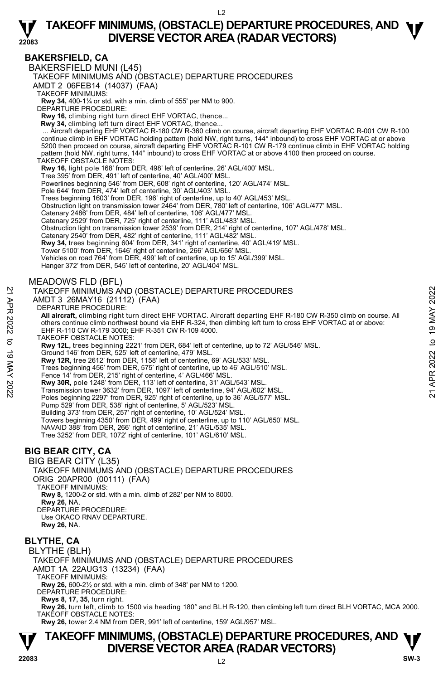#### **BAKERSFIELD, CA**

**22083** 

BAKERSFIELD MUNI (L45)

TAKEOFF MINIMUMS AND (OBSTACLE) DEPARTURE PROCEDURES

AMDT 2 06FEB14 (14037) (FAA)

TAKEOFF MINIMUMS:

**Rwy 34,** 400-1¼ or std. with a min. climb of 555' per NM to 900. DEPARTURE PROCEDURE:

**Rwy 16,** climbing right turn direct EHF VORTAC, thence...

 **Rwy 34,** climbing left turn direct EHF VORTAC, thence...

Aircraft departing EHF VORTAC R-180 CW R-360 climb on course, aircraft departing EHF VORTAC R-001 CW R-100. ..<br>Continue climb in EHF VORTAC holding pattern (hold NW, right turns, 144° inbound) to cross EHF VORTAC at or abo 5200 then proceed on course, aircraft departing EHF VORTAC R-101 CW R-179 continue climb in EHF VORTAC holding pattern (hold NW, right turns, 144° inbound) to cross EHF VORTAC at or above 4100 then proceed on course. TAKEOFF OBSTACLE NOTES:

**Rwy 16,** light pole 168' from DER, 498' left of centerline, 26' AGL/400' MSL.

Tree 395' from DER, 491' left of centerline, 40' AGL/400' MSL.

Powerlines beginning 546' from DER, 608' right of centerline, 120' AGL/474' MSL.

Pole 644' from DER, 474' left of centerline, 30' AGL/403' MSL.

Trees beginning 1603' from DER, 196' right of centerline, up to 40' AGL/453' MSL.

Obstruction light on transmission tower 2464' from DER, 780' left of centerline, 106' AGL/477' MSL.

Catenary 2486' from DER, 484' left of centerline, 106' AGL/477' MSL. Catenary 2529' from DER, 725' right of centerline, 111' AGL/483' MSL.

Obstruction light on transmission tower 2539' from DER, 214' right of centerline, 107' AGL/478' MSL.

Catenary 2540' from DER, 482' right of centerline, 111' AGL/482' MSL.

**Rwy 34,** trees beginning 604' from DER, 341' right of centerline, 40' AGL/419' MSL.

Tower 5100' from DER, 1646' right of centerline, 266' AGL/656' MSL.

Vehicles on road 764' from DER, 499' left of centerline, up to 15' AGL/399' MSL.

Hanger 372' from DER, 545' left of centerline, 20' AGL/404' MSL.

#### MEADOWS FLD (BFL)

#### TAKEOFF MINIMUMS AND (OBSTACLE) DEPARTURE PROCEDURES

AMDT 3 26MAY16 (21112) (FAA)

DEPARTURE PROCEDURE:

**All aircraft,** climbing right turn direct EHF VORTAC. Aircraft departing EHF R-180 CW R-350 climb on course. All others continue climb northwest bound via EHF R-324, then climbing left turn to cross EHF VORTAC at or above: EHF R-110 CW R-179 3000; EHF R-351 CW R-109 4000. TAKEOFF MINIMUMS AND (OBSTACLE) DEPARTURE PROCEDURES<br>
21 AMDIT 3 26MAY16 (21112) (FAA)<br>
22 BOMAY16 (21112) (FAA)<br>
22 DEPARTURE PROCEDURE:<br>
22 All aircraft, climbing right turn direct EHF VORTAC. Aircraft departing EHF R-1

TAKEOFF OBSTACLE NOTES:

**Rwy 12L,** trees beginning 2221' from DER, 684' left of centerline, up to 72' AGL/546' MSL. Ground 146' from DER, 525' left of centerline, 479' MSL.

**Rwy 12R,** tree 2612' from DER, 1158' left of centerline, 69' AGL/533' MSL.

Trees beginning 456' from DER, 575' right of centerline, up to 46' AGL/510' MSL.

Fence 14' from DER, 215' right of centerline, 4' AGL/466' MSL.

**Rwy 30R,** pole 1248' from DER, 113' left of centerline, 31' AGL/543' MSL.

Transmission tower 3632' from DER, 1097' left of centerline, 94' AGL/602' MSL.

Poles beginning 2297' from DER, 925' right of centerline, up to 36' AGL/577' MSL.

Pump 529' from DER, 538' right of centerline, 5' AGL/523' MSL. Building 373' from DER, 257' right of centerline, 10' AGL/524' MSL.

Towers beginning 4350' from DER, 499' right of centerline, up to 110' AGL/650' MSL.

NAVAID 388' from DER, 266' right of centerline, 21' AGL/535' MSL.

Tree 3252' from DER, 1072' right of centerline, 101' AGL/610' MSL.

### **BIG BEAR CITY, CA**

#### BIG BEAR CITY (L35)

TAKEOFF MINIMUMS AND (OBSTACLE) DEPARTURE PROCEDURES

ORIG 20APR00 (00111) (FAA) TAKEOFF MINIMUMS:

**Rwy 8,** 1200-2 or std. with a min. climb of 282' per NM to 8000.

**Rwy 26,** NA.

DEPARTURE PROCEDURE:

Use OKACO RNAV DEPARTURE.

**Rwy 26,** NA.

### **BLYTHE, CA**

BLYTHE (BLH) TAKEOFF MINIMUMS AND (OBSTACLE) DEPARTURE PROCEDURES AMDT 1A 22AUG13 (13234) (FAA) TAKEOFF MINIMUMS: **Rwy 26,** 600-2½ or std. with a min. climb of 348' per NM to 1200. DEPARTURE PROCEDURE:

**Rwys 8, 17, 35,** turn right.

**Rwy 26,** turn left, climb to 1500 via heading 180° and BLH R-120, then climbing left turn direct BLH VORTAC, MCA 2000. TAKEOFF OBSTACLE NOTES:

**Rwy 26,** tower 2.4 NM from DER, 991' left of centerline, 159' AGL/957' MSL.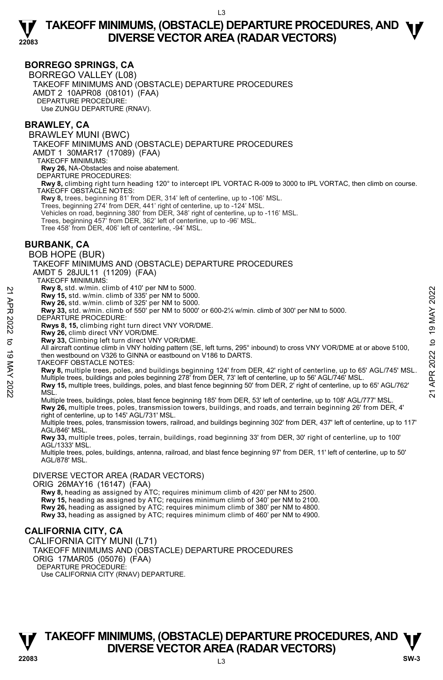#### **BORREGO SPRINGS, CA**

BORREGO VALLEY (L08) TAKEOFF MINIMUMS AND (OBSTACLE) DEPARTURE PROCEDURES AMDT 2 10APR08 (08101) (FAA) DEPARTURE PROCEDURE: Use ZUNGU DEPARTURE (RNAV).

#### **BRAWLEY, CA**

BRAWLEY MUNI (BWC) TAKEOFF MINIMUMS AND (OBSTACLE) DEPARTURE PROCEDURES AMDT 1 30MAR17 (17089) (FAA) TAKEOFF MINIMUMS: **Rwy 26,** NA-Obstacles and noise abatement. DEPARTURE PROCEDURES: **Rwy 8,** climbing right turn heading 120° to intercept IPL VORTAC R-009 to 3000 to IPL VORTAC, then climb on course. TAKEOFF OBSTACLE NOTES: **Rwy 8,** trees, beginning 81' from DER, 314' left of centerline, up to -106' MSL. Trees, beginning 274' from DER, 441' right of centerline, up to -124' MSL.<br>Vehicles on road, beginning 380' from DER, 348' right of centerline, up to -116' MSL.<br>Trees, beginning 457' from DER, 362' left of centerline, up t Tree 458' from DER, 406' left of centerline, -94' MSL. **BURBANK, CA**  BOB HOPE (BUR) TAKEOFF MINIMUMS AND (OBSTACLE) DEPARTURE PROCEDURES AMDT 5 28JUL11 (11209) (FAA) TAKEOFF MINIMUMS: **Rwy 8,** std. w/min. climb of 410' per NM to 5000. **Rwy 15,** std. w/min. climb of 335' per NM to 5000.<br>**Rwy 26,** std. w/min. climb of 325' per NM to 5000.<br>**Rwy 33,** std. w/min. climb of 550' per NM to 5000' or 600-2¼ w/min. climb of 300' per NM to 5000. DEPARTURE PROCEDURE: **Rwys 8, 15,** climbing right turn direct VNY VOR/DME. **Rwy 26,** climb direct VNY VOR/DME. **Rwy 33,** Climbing left turn direct VNY VOR/DME. All aircraft continue climb in VNY holding pattern (SE, left turns, 295° inbound) to cross VNY VOR/DME at or above 5100, then westbound on V326 to GINNA or eastbound on V186 to DARTS. TAKEOFF OBSTACLE NOTES: **Rwy 8,** multiple trees, poles, and buildings beginning 124' from DER, 42' right of centerline, up to 65' AGL/745' MSL. Multiple trees, buildings and poles beginning 278' from DER, 73' left of centerline, up to 56' AGL/746' MSL. **Rwy 15,** multiple trees, buildings, poles, and blast fence beginning 50' from DER, 2' right of centerline, up to 65' AGL/762' MSL. Multiple trees, buildings, poles, blast fence beginning 185' from DER, 53' left of centerline, up to 108' AGL/777' MSL. **Rwy 26,** multiple trees, poles, transmission towers, buildings, and roads, and terrain beginning 26' from DER, 4'<br>right of centerline, up to 145' AGL/731' MSL. Multiple trees, poles, transmission towers, railroad, and buildings beginning 302' from DER, 437' left of centerline, up to 117' AGL/846' MSL. **Rwy 33,** multiple trees, poles, terrain, buildings, road beginning 33' from DER, 30' right of centerline, up to 100' AGL/1333' MSL. Multiple trees, poles, buildings, antenna, railroad, and blast fence beginning 97' from DER, 11' left of centerline, up to 50' AGL/878' MSL. DIVERSE VECTOR AREA (RADAR VECTORS) ORIG 26MAY16 (16147) (FAA)  **Rwy 8,** heading as assigned by ATC; requires minimum climb of 420' per NM to 2500. 22<br>
22 Rwy 3, std. w/min. climb of 305° per NM to 5000.<br>
22 Rwy 26, std. w/min. climb of 325' per NM to 5000.<br>
22 Rwy 33, std. w/min. climb of 550' per NM to 5000.<br>
22 DEPARTURE PROCEDURE:<br>
22 DEPARTURE PROCEDURE:<br>
23 Rwy

**Rwy 15,** heading as assigned by ATC; requires minimum climb of 340' per NM to 2100. **Rwy 26,** heading as assigned by ATC; requires minimum climb of 380' per NM to 4800. **Rwy 33,** heading as assigned by ATC; requires minimum climb of 460' per NM to 4900.

#### **CALIFORNIA CITY, CA**

CALIFORNIA CITY MUNI (L71) TAKEOFF MINIMUMS AND (OBSTACLE) DEPARTURE PROCEDURES ORIG 17MAR05 (05076) (FAA) DEPARTURE PROCEDURE: Use CALIFORNIA CITY (RNAV) DEPARTURE.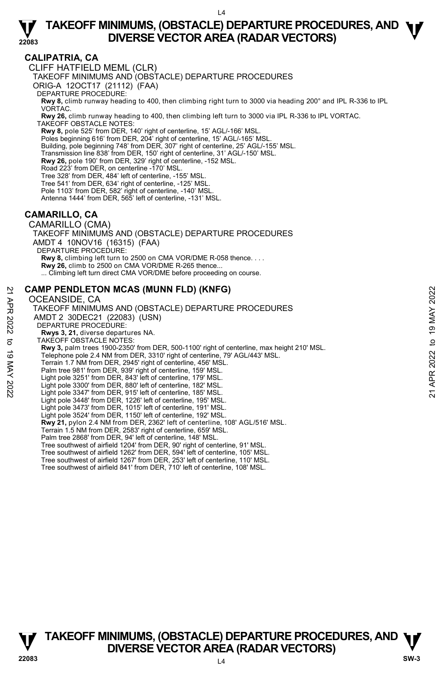### **CALIPATRIA, CA**

**22083** 

CLIFF HATFIELD MEML (CLR)

TAKEOFF MINIMUMS AND (OBSTACLE) DEPARTURE PROCEDURES

ORIG-A 12OCT17 (21112) (FAA)

DEPARTURE PROCEDURE:

**Rwy 8,** climb runway heading to 400, then climbing right turn to 3000 via heading 200° and IPL R-336 to IPL VORTAC.

**Rwy 26,** climb runway heading to 400, then climbing left turn to 3000 via IPL R-336 to IPL VORTAC. TAKEOFF OBSTACLE NOTES:

**Rwy 8,** pole 525' from DER, 140' right of centerline, 15' AGL/-166' MSL. Poles beginning 616' from DER, 204' right of centerline, 15' AGL/-165' MSL.

Building, pole beginning 748' from DER, 307' right of centerline, 25' AGL/-155' MSL.

- Transmission line 838' from DER, 150' right of centerline, 31' AGL/-150' MSL.
- **Rwy 26,** pole 190' from DER, 329' right of centerline, -152 MSL.

Road 223' from DER, on centerline -170' MSL.

Tree 328' from DER, 484' left of centerline, -155' MSL. Tree 541' from DER, 634' right of centerline, -125' MSL.

Pole 1103' from DER, 582' right of centerline, -140' MSL.

Antenna 1444' from DER, 565' left of centerline, -131' MSL.

### **CAMARILLO, CA**

CAMARILLO (CMA) TAKEOFF MINIMUMS AND (OBSTACLE) DEPARTURE PROCEDURES AMDT 4 10NOV16 (16315) (FAA) DEPARTURE PROCEDURE: **Rwy 8,** climbing left turn to 2500 on CMA VOR/DME R-058 thence. . . . **Rwy 26,** climb to 2500 on CMA VOR/DME R-265 thence... ... Climbing left turn direct CMA VOR/DME before proceeding on course.

#### **CAMP PENDLETON MCAS (MUNN FLD) (KNFG)**

#### OCEANSIDE, CA

TAKEOFF MINIMUMS AND (OBSTACLE) DEPARTURE PROCEDURES AMDT 2 30DEC21 (22083) (USN) DEPARTURE PROCEDURE: **Rwys 3, 21,** diverse departures NA. TAKEOFF OBSTACLE NOTES: **Rwy 3,** palm trees 1900-2350' from DER, 500-1100' right of centerline, max height 210' MSL. Telephone pole 2.4 NM from DER, 3310' right of centerline, 79' AGL/443' MSL. Terrain 1.7 NM from DER, 2945' right of centerline, 456' MSL. Palm tree 981' from DER, 939' right of centerline, 159' MSL. Light pole 3251' from DER, 843' left of centerline, 179' MSL. Light pole 3300' from DER, 880' left of centerline, 182' MSL. Light pole 3347' from DER, 915' left of centerline, 185' MSL. Light pole 3448' from DER, 1226' left of centerline, 195' MSL. Light pole 3473' from DER, 1015' left of centerline, 191' MSL. Light pole 3524' from DER, 1150' left of centerline, 192' MSL. **Rwy 21,** pylon 2.4 NM from DER, 2362' left of centerline, 108' AGL/516' MSL. Terrain 1.5 NM from DER, 2583' right of centerline, 659' MSL. Palm tree 2868' from DER, 94' left of centerline, 148' MSL. Tree southwest of airfield 1204' from DER, 90' right of centerline, 91' MSL. Tree southwest of airfield 1262' from DER, 594' left of centerline, 105' MSL. Tree southwest of airfield 1267' from DER, 253' left of centerline, 110' MSL. Tree southwest of airfield 841' from DER, 710' left of centerline, 108' MSL. CAMP PENDLETON MCAS (MUNN FLD) (KNFG)<br>  $\geq$  OCEANSIDE, CA<br>
TAKEOFF MINIMUMS AND (OBSTACLE) DEPARTURE PROCEDURES<br>
ANDT 2 30DEC21 (22083) (USN)<br>
DEPARTURE PROCEDURE:<br>
RWYS 3, 21, diverse departures NA,<br>
TAKEOFF OBSTACLE NO



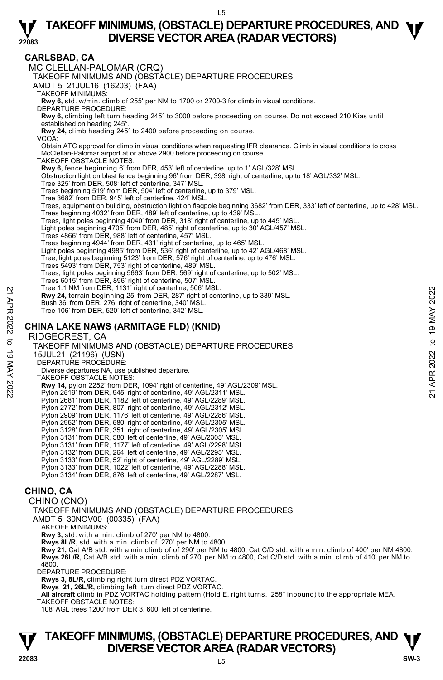#### **CARLSBAD, CA**

**22083** 

MC CLELLAN-PALOMAR (CRQ) TAKEOFF MINIMUMS AND (OBSTACLE) DEPARTURE PROCEDURES AMDT 5 21JUL16 (16203) (FAA) TAKEOFF MINIMUMS: **Rwy 6,** std. w/min. climb of 255' per NM to 1700 or 2700-3 for climb in visual conditions. DEPARTURE PROCEDURE: **Rwy 6,** climbing left turn heading 245° to 3000 before proceeding on course. Do not exceed 210 Kias until established on heading 245°. **Rwy 24,** climb heading 245° to 2400 before proceeding on course. VCOA: Obtain ATC approval for climb in visual conditions when requesting IFR clearance. Climb in visual conditions to cross McClellan-Palomar airport at or above 2900 before proceeding on course. TAKEOFF OBSTACLE NOTES: **Rwy 6,** fence beginning 6' from DER, 453' left of centerline, up to 1' AGL/328' MSL. Obstruction light on blast fence beginning 96' from DER, 398' right of centerline, up to 18' AGL/332' MSL. Tree 325' from DER, 508' left of centerline, 347' MSL. Trees beginning 519' from DER, 504' left of centerline, up to 379' MSL. Tree 3682' from DER, 945' left of centerline, 424' MSL. Trees, equipment on building, obstruction light on flagpole beginning 3682' from DER, 333' left of centerline, up to 428' MSL.<br>Trees beginning 4032' from DER, 489' left of centerline, up to 439' MSL. Trees, light poles beginning 4040' from DER, 318' right of centerline, up to 445' MSL. Light poles beginning 4705' from DER, 485' right of centerline, up to 30' AGL/457' MSL. Trees 4866' from DER, 988' left of centerline, 457' MSL. Trees beginning 4944' from DER, 431' right of centerline, up to 465' MSL. Light poles beginning 4985' from DER, 536' right of centerline, up to 42' AGL/468' MSL. Tree, light poles beginning 5123' from DER, 576' right of centerline, up to 476' MSL. Trees 5493' from DER, 753' right of centerline, 489' MSL. Trees, light poles beginning 5663' from DER, 569' right of centerline, up to 502' MSL. Trees 6015' from DER, 896' right of centerline, 507' MSL. Tree 1.1 NM from DER, 1131' right of centerline, 506' MSL. **Rwy 24,** terrain beginning 25' from DER, 287' right of centerline, up to 339' MSL. Bush 36' from DER, 276' right of centerline, 340' MSL. Tree 106' from DER, 520' left of centerline, 342' MSL. **CHINA LAKE NAWS (ARMITAGE FLD) (KNID)**  RIDGECREST, CA TAKEOFF MINIMUMS AND (OBSTACLE) DEPARTURE PROCEDURES 15JUL21 (21196) (USN) DEPARTURE PROCEDURE: Diverse departures NA, use published departure. TAKEOFF OBSTACLE NOTES: **Rwy 14,** pylon 2252' from DER, 1094' right of centerline, 49' AGL/2309' MSL.<br>Pylon 2519' from DER, 945' right of centerline, 49' AGL/2311' MSL. Pylon 2681' from DER, 1182' left of centerline, 49' AGL/2289' MSL. Pylon 2772' from DER, 807' right of centerline, 49' AGL/2312' MSL. Pylon 2909' from DER, 1176' left of centerline, 49' AGL/2286' MSL. Pylon 2952' from DER, 580' right of centerline, 49' AGL/2305' MSL. Pylon 3128' from DER, 351' right of centerline, 49' AGL/2305' MSL. Pylon 3131' from DER, 580' left of centerline, 49' AGL/2305' MSL. Pylon 3131' from DER, 1177' left of centerline, 49' AGL/2298' MSL. Pylon 3132' from DER, 264' left of centerline, 49' AGL/2295' MSL. Pylon 3133' from DER, 52' right of centerline, 49' AGL/2289' MSL. Pylon 3133' from DER, 1022' left of centerline, 49' AGL/2288' MSL. Pylon 3134' from DER, 876' left of centerline, 49' AGL/2287' MSL. **CHINO, CA**  CHINO (CNO) TAKEOFF MINIMUMS AND (OBSTACLE) DEPARTURE PROCEDURES AMDT 5 30NOV00 (00335) (FAA) Pree 1.1 NM from DER, 131 Tinght of centerline, 90° MSL.<br> **EWY 24, terrain beginning** 25' from DER, 287' right of centerline, up to 339' MSL.<br>
Bush 36' from DER, 276' right of centerline, 342' MSL.<br>
Tree 106' from DER, 52

TAKEOFF MINIMUMS:

**Rwy 3,** std. with a min. climb of 270' per NM to 4800. **Rwys 8L/R,** std. with a min. climb of 270' per NM to 4800.

**Rwy 21,** Cat A/B std. with a min climb of of 290' per NM to 4800, Cat C/D std. with a min. climb of 400' per NM 4800. **Rwys 26L/R,** Cat A/B std. with a min. climb of 270' per NM to 4800, Cat C/D std. with a min. climb of 410' per NM to 4800.

DEPARTURE PROCEDURE:

**Rwys 3, 8L/R,** climbing right turn direct PDZ VORTAC.

**Rwys 21, 26L/R,** climbing left turn direct PDZ VORTAC. **All aircraft** climb in PDZ VORTAC holding pattern (Hold E, right turns, 258° inbound) to the appropriate MEA. TAKEOFF OBSTACLE NOTES:

108' AGL trees 1200' from DER 3, 600' left of centerline.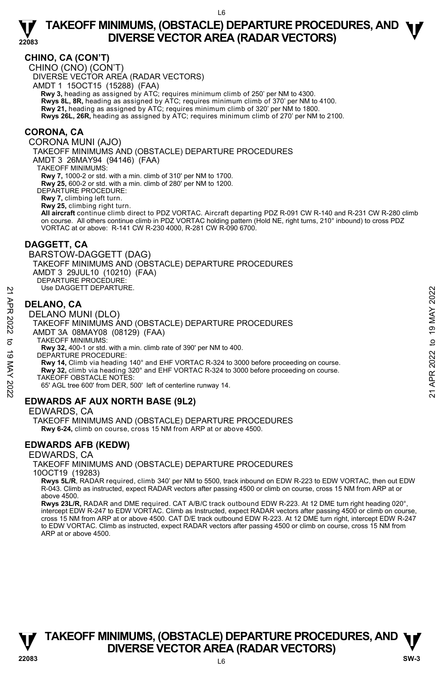#### **CHINO, CA (CON'T)**

**22083** 

CHINO (CNO) (CON'T) DIVERSE VECTOR AREA (RADAR VECTORS) AMDT 1 15OCT15 (15288) (FAA)  **Rwy 3,** heading as assigned by ATC; requires minimum climb of 250' per NM to 4300. **Rwys 8L, 8R,** heading as assigned by ATC; requires minimum climb of 370' per NM to 4100.<br>**Rwy 21,** heading as assigned by ATC; requires minimum climb of 320' per NM to 1800. **Rwys 26L, 26R,** heading as assigned by ATC; requires minimum climb of 270' per NM to 2100.

#### **CORONA, CA**

CORONA MUNI (AJO)

TAKEOFF MINIMUMS AND (OBSTACLE) DEPARTURE PROCEDURES

AMDT 3 26MAY94 (94146) (FAA)

TAKEOFF MINIMUMS:

**Rwy 7,** 1000-2 or std. with a min. climb of 310' per NM to 1700. **Rwy 25,** 600-2 or std. with a min. climb of 280' per NM to 1200.

DEPARTURE PROCEDURE:

**Rwy 7,** climbing left turn.

**Rwy 25,** climbing right turn.

**All aircraft** continue climb direct to PDZ VORTAC. Aircraft departing PDZ R-091 CW R-140 and R-231 CW R-280 climb on course. All others continue climb in PDZ VORTAC holding pattern (Hold NE, right turns, 210° inbound) to cross PDZ VORTAC at or above: R-141 CW R-230 4000, R-281 CW R-090 6700.

#### **DAGGETT, CA**

BARSTOW-DAGGETT (DAG) TAKEOFF MINIMUMS AND (OBSTACLE) DEPARTURE PROCEDURES AMDT 3 29JUL10 (10210) (FAA) DEPARTURE PROCEDURE: Use DAGGETT DEPARTURE.

#### **DELANO, CA**

#### DELANO MUNI (DLO)

TAKEOFF MINIMUMS AND (OBSTACLE) DEPARTURE PROCEDURES AMDT 3A 08MAY08 (08129) (FAA) Use DAGGETT DEPARTURE.<br>
22 DELANO, CA<br>
DELANO MUNI (DLO)<br>
TAKEOFF MINIMUMS AND (OBSTACLE) DEPARTURE PROCEDURES<br>
22 TAKEOFF MINIMUMS:<br>
32 AMDIT 3A 08MAY 08 (08129) (FAA)<br>
32 TAKEOFF MINIMUMS:<br>
23 TAKEOFF MINIMUMS:<br>
23 TAKE

TAKEOFF MINIMUMS:

**Rwy 32,** 400-1 or std. with a min. climb rate of 390' per NM to 400.

DEPARTURE PROCEDURE:

**Rwy 14,** Climb via heading 140° and EHF VORTAC R-324 to 3000 before proceeding on course.

**Rwy 32,** climb via heading 320° and EHF VORTAC R-324 to 3000 before proceeding on course.

TAKEOFF OBSTACLE NOTES:

65' AGL tree 600' from DER, 500' left of centerline runway 14.

#### **EDWARDS AF AUX NORTH BASE (9L2)**

EDWARDS, CA

TAKEOFF MINIMUMS AND (OBSTACLE) DEPARTURE PROCEDURES  **Rwy 6-24,** climb on course, cross 15 NM from ARP at or above 4500.

#### **EDWARDS AFB (KEDW)**

#### EDWARDS, CA

TAKEOFF MINIMUMS AND (OBSTACLE) DEPARTURE PROCEDURES

10OCT19 (19283)

 **Rwys 5L/R**, RADAR required, climb 340' per NM to 5500, track inbound on EDW R-223 to EDW VORTAC, then out EDW R-043. Climb as instructed, expect RADAR vectors after passing 4500 or climb on course, cross 15 NM from ARP at or above 4500.

**Rwys 23L/R,** RADAR and DME required. CAT A/B/C track outbound EDW R-223. At 12 DME turn right heading 020°, intercept EDW R-247 to EDW VORTAC. Climb as Instructed, expect RADAR vectors after passing 4500 or climb on course, cross 15 NM from ARP at or above 4500. CAT D/E track outbound EDW R-223. At 12 DME turn right, intercept EDW R-247 to EDW VORTAC. Climb as instructed, expect RADAR vectors after passing 4500 or climb on course, cross 15 NM from ARP at or above 4500.

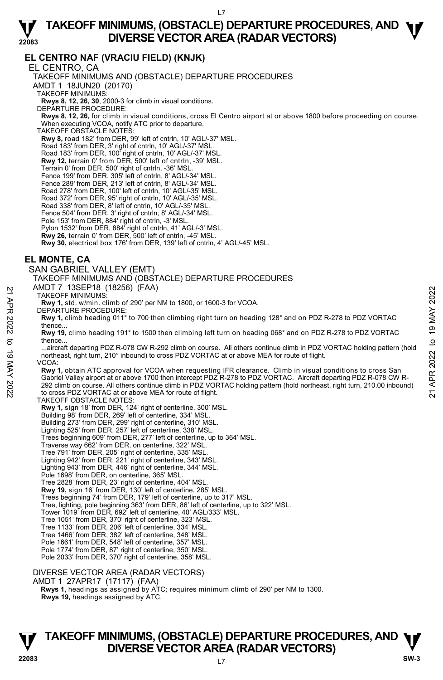#### **22083 TAKEOFF MINIMUMS, (OBSTACLE) DEPARTURE PROCEDURES, AND <b>W**<br>DIVERSE VECTOR AREA (RADAR VECTORS) **DIVERSE VECTOR AREA (RADAR VECTORS)**

### **EL CENTRO NAF (VRACIU FIELD) (KNJK)**

EL CENTRO, CA TAKEOFF MINIMUMS AND (OBSTACLE) DEPARTURE PROCEDURES AMDT 1 18JUN20 (20170) TAKEOFF MINIMUMS: **Rwys 8, 12, 26, 30**, 2000-3 for climb in visual conditions. DEPARTURE PROCEDURE: **Rwys 8, 12, 26,** for climb in visual conditions, cross El Centro airport at or above 1800 before proceeding on course. When executing VCOA, notify ATC prior to departure. TAKEOFF OBSTACLE NOTES: **Rwy 8,** road 182' from DER, 99' left of cntrln, 10' AGL/-37' MSL. Road 183' from DER, 3' right of cntrln, 10' AGL/-37' MSL. Road 183' from DER, 100' right of cntrln, 10' AGL/-37' MSL. **Rwy 12,** terrain 0' from DER, 500' left of cntrln, -39' MSL. Terrain 0' from DER, 500' right of cntrln, -36' MSL. Fence 199' from DER, 305' left of cntrln, 8' AGL/-34' MSL. Fence 289' from DER, 213' left of cntrln, 8' AGL/-34' MSL. Road 278' from DER, 100' left of cntrln, 10' AGL/-35' MSL. Road 372' from DER, 95' right of cntrln, 10' AGL/-35' MSL. Road 338' from DER, 8' left of cntrln, 10' AGL/-35' MSL. Fence 504' from DER, 3' right of cntrln, 8' AGL/-34' MSL. Pole 153' from DER, 884' right of cntrln, -3' MSL. Pylon 1532' from DER, 884' right of cntrln, 41' AGL/-3' MSL. **Rwy 26,** terrain 0' from DER, 500' left of cntrln, -45' MSL. **Rwy 30,** electrical box 176' from DER, 139' left of cntrln, 4' AGL/-45' MSL. **EL MONTE, CA**  SAN GABRIEL VALLEY (EMT) TAKEOFF MINIMUMS AND (OBSTACLE) DEPARTURE PROCEDURES AMDT 7 13SEP18 (18256) (FAA) TAKEOFF MINIMUMS: **Rwy 1,** std. w/min. climb of 290' per NM to 1800, or 1600-3 for VCOA. DEPARTURE PROCEDURE: **Rwy 1,** climb heading 011° to 700 then climbing right turn on heading 128° and on PDZ R-278 to PDZ VORTAC thence. **Rwy 19,** climb heading 191° to 1500 then climbing left turn on heading 068° and on PDZ R-278 to PDZ VORTAC thence. ...aircraft departing PDZ R-078 CW R-292 climb on course. All others continue climb in PDZ VORTAC holding pattern (hold northeast, right turn, 210° inbound) to cross PDZ VORTAC at or above MEA for route of flight. VCOA: **Rwy 1,** obtain ATC approval for VCOA when requesting IFR clearance. Climb in visual conditions to cross San Gabriel Valley airport at or above 1700 then intercept PDZ R-278 to PDZ VORTAC. Aircraft departing PDZ R-078 CW R-292 climb on course. All others continue climb in PDZ VORTAC holding pattern (hold northeast, right turn, 210.00 inbound) to cross PDZ VORTAC at or above MEA for route of flight. TAKEOFF OBSTACLE NOTES: **Rwy 1,** sign 18' from DER, 124' right of centerline, 300' MSL. Building 98' from DER, 269' left of centerline, 334' MSL. Building 273' from DER, 299' right of centerline, 310' MSL. Lighting 525' from DER, 257' left of centerline, 338' MSL. Trees beginning 609' from DER, 277' left of centerline, up to 364' MSL. Traverse way 662' from DER, on centerline, 322' MSL. Tree 791' from DER, 205' right of centerline, 335' MSL. Lighting 942' from DER, 221' right of centerline, 343' MSL. Lighting 943' from DER, 446' right of centerline, 344' MSL. Pole 1698' from DER, on centerline, 365' MSL. Tree 2828' from DER, 23' right of centerline, 404' MSL. **Rwy 19,** sign 16' from DER, 130' left of centerline, 285' MSL. Trees beginning 74' from DER, 179' left of centerline, up to 317' MSL. Tree, lighting, pole beginning 363' from DER, 86' left of centerline, up to 322' MSL. Tower 1019' from DER, 692' left of centerline, 40' AGL/333' MSL. Tree 1051' from DER, 370' right of centerline, 323' MSL. Tree 1133' from DER, 206' left of centerline, 334' MSL. Tree 1466' from DER, 382' left of centerline, 348' MSL. Pole 1661' from DER, 548' left of centerline, 357' MSL. Pole 1774' from DER, 87' right of centerline, 350' MSL. Pole 2033' from DER, 370' right of centerline, 358' MSL. TAKEOFF MINIMUMS:<br>
TAKEOFF MINIMUMS:<br>
TAKEOFF MINIMUMS:<br>
TAKEOFF MINIMUMS:<br>
DEPARTURE PROCEDURE:<br>
New 1, std. w/min. climb of 290' per NM to 1800, or 1600-3 for VCOA.<br>
DEPARTURE PROCEDURE:<br>
New 19, climb heading 191° to 7

DIVERSE VECTOR AREA (RADAR VECTORS)

AMDT 1 27APR17 (17117) (FAA)

 **Rwys 1,** headings as assigned by ATC; requires minimum climb of 290' per NM to 1300. **Rwys 19,** headings assigned by ATC.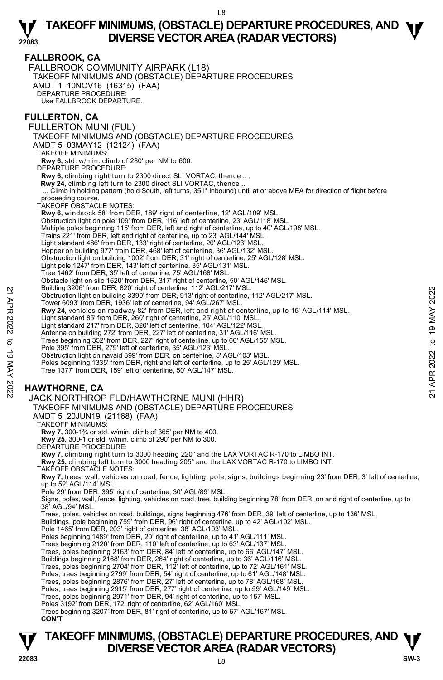### **FALLBROOK, CA**

**22083** 

FALLBROOK COMMUNITY AIRPARK (L18) TAKEOFF MINIMUMS AND (OBSTACLE) DEPARTURE PROCEDURES AMDT 1 10NOV16 (16315) (FAA) DEPARTURE PROCEDURE: Use FALLBROOK DEPARTURE.

#### **FULLERTON, CA**

FULLERTON MUNI (FUL) TAKEOFF MINIMUMS AND (OBSTACLE) DEPARTURE PROCEDURES AMDT 5 03MAY12 (12124) (FAA) TAKEOFF MINIMUMS: **Rwy 6,** std. w/min. climb of 280' per NM to 600. DEPARTURE PROCEDURE: **Rwy 6,** climbing right turn to 2300 direct SLI VORTAC, thence .. .  **Rwy 24,** climbing left turn to 2300 direct SLI VORTAC, thence ... ... Climb in holding pattern (hold South, left turns, 351° inbound) until at or above MEA for direction of flight before proceeding course. TAKEOFF OBSTACLE NOTES: **Rwy 6,** windsock 58' from DER, 189' right of centerline, 12' AGL/109' MSL. Obstruction light on pole 109' from DER, 116' left of centerline, 23' AGL/118' MSL. Multiple poles beginning 115' from DER, left and right of centerline, up to 40' AGL/198' MSL. Trains 221' from DER, left and right of centerline, up to 23' AGL/144' MSL. Light standard 486' from DER, 133' right of centerline, 20' AGL/123' MSL. Hopper on building 977' from DER, 468' left of centerline, 36' AGL/132' MSL. Obstruction light on building 1002' from DER, 31' right of centerline, 25' AGL/128' MSL. Light pole 1247' from DER, 143' left of centerline, 35' AGL/131' MSL. Tree 1462' from DER, 35' left of centerline, 75' AGL/168' MSL. Obstacle light on silo 1620' from DER, 317' right of centerline, 50' AGL/146' MSL. Building 3206' from DER, 820' right of centerline, 112' AGL/217' MSL. Obstruction light on building 3390' from DER, 913' right of centerline, 112' AGL/217' MSL. Tower 6093' from DER, 1936' left of centerline, 94' AGL/267' MSL. **Rwy 24,** vehicles on roadway 82' from DER, left and right of centerline, up to 15' AGL/114' MSL. Light standard 85' from DER, 260' right of centerline, 25' AGL/110' MSL. Light standard 217' from DER, 320' left of centerline, 104' AGL/122' MSL. Antenna on building 272' from DER, 227' left of centerline, 31' AGL/116' MSL. Trees beginning 352' from DER, 227' right of centerline, up to 60' AGL/155' MSL. Pole 395' from DER, 279' left of centerline, 35' AGL/123' MSL. Obstruction light on navaid 399' from DER, on centerline, 5' AGL/103' MSL. Poles beginning 1335' from DER, right and left of centerline, up to 25' AGL/129' MSL. Tree 1377' from DER, 159' left of centerline, 50' AGL/147' MSL. **HAWTHORNE, CA**  Bullding 320° from DER, 920' right of centerline, 112' AGL/217' MSL.<br>
22<br>
23 Obstruction light on building 3390' from DER, 913' right of centerline, 112' AGL/217' MSL.<br>
22<br>
22 Tower 6093' from DER, 1936' left of centerlin

#### JACK NORTHROP FLD/HAWTHORNE MUNI (HHR)

TAKEOFF MINIMUMS AND (OBSTACLE) DEPARTURE PROCEDURES AMDT 5 20JUN19 (21168) (FAA)

TAKEOFF MINIMUMS:

**Rwy 7,** 300-1¾ or std. w/min. climb of 365' per NM to 400.

**Rwy 25,** 300-1 or std. w/min. climb of 290' per NM to 300. DEPARTURE PROCEDURE:

**Rwy 7,** climbing right turn to 3000 heading 220° and the LAX VORTAC R-170 to LIMBO INT.

**Rwy 25,** climbing left turn to 3000 heading 205° and the LAX VORTAC R-170 to LIMBO INT.

TAKEOFF OBSTACLE NOTES:

**Rwy 7,** trees, wall, vehicles on road, fence, lighting, pole, signs, buildings beginning 23' from DER, 3' left of centerline, up to 52' AGL/114' MSL.

Pole 29' from DER, 395' right of centerline, 30' AGL/89' MSL.

Signs, poles, wall, fence, lighting, vehicles on road, tree, building beginning 78' from DER, on and right of centerline, up to 38' AGL/94' MSL.

Trees, poles, vehicles on road, buildings, signs beginning 476' from DER, 39' left of centerline, up to 136' MSL.<br>Buildings, pole beginning 759' from DER, 96' right of centerline, up to 42' AGL/102' MSL.

Pole 1465' from DER, 203' right of centerline, 38' AGL/103' MSL.

Poles beginning 1489' from DER, 20' right of centerline, up to 41' AGL/111' MSL.

Trees beginning 2120' from DER, 110' left of centerline, up to 63' AGL/137' MSL. Trees, poles beginning 2163' from DER, 84' left of centerline, up to 66' AGL/147' MSL.

Buildings beginning 2168' from DER, 264' right of centerline, up to 36' AGL/116' MSL.

Trees, poles beginning 2704' from DER, 112' left of centerline, up to 72' AGL/161' MSL. Poles, trees beginning 2799' from DER, 54' right of centerline, up to 61' AGL/148' MSL.

Trees, poles beginning 2876' from DER, 27' left of centerline, up to 78' AGL/168' MSL

Poles, trees beginning 2915' from DER, 277' right of centerline, up to 59' AGL/149' MSL.

Trees, poles beginning 2971' from DER, 94' right of centerline, up to 157' MSL.

Poles 3192' from DER, 172' right of centerline, 62' AGL/160' MSL.

Trees beginning 3207' from DER, 81' right of centerline, up to 67' AGL/167' MSL.

**CON'T** 

## **TAKEOFF MINIMUMS, (OBSTACLE) DEPARTURE PROCEDURES, AND**  $\Psi$ **DIVERSE VECTOR AREA (RADAR VECTORS) 22083 SW-3**

L8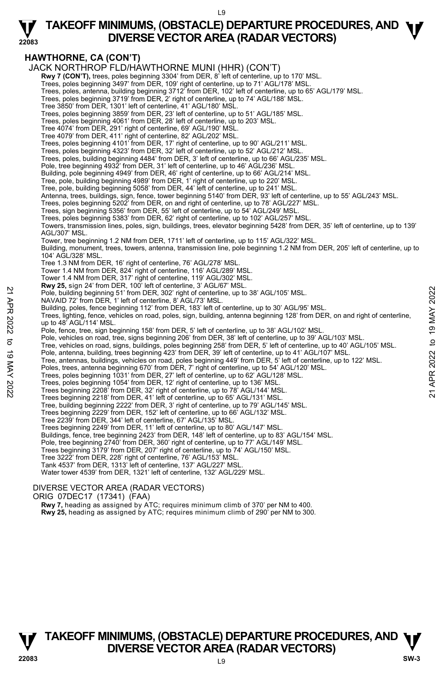### **TAKEOFF MINIMUMS, (OBSTACLE) DEPARTURE PROCEDURES, AND <b>W**<br>DIVERSE VECTOR AREA (RADAR VECTORS) **DIVERSE VECTOR AREA (RADAR VECTORS)**

**HAWTHORNE, CA (CON'T)** 

**22083** 

JACK NORTHROP FLD/HAWTHORNE MUNI (HHR) (CON'T)

**Rwy 7 (CON'T),** trees, poles beginning 3304' from DER, 8' left of centerline, up to 170' MSL.<br>Trees, poles beginning 3497' from DER, 109' right of centerline, up to 71' AGL/178' MSL.

Trees, poles, antenna, building beginning 3712' from DER, 102' left of centerline, up to 65' AGL/179' MSL.

Trees, poles beginning 3719' from DER, 2' right of centerline, up to 74' AGL/188' MSL.

Tree 3850' from DER, 1301' left of centerline, 41' AGL/180' MSL.

Trees, poles beginning 3859' from DER, 23' left of centerline, up to 51' AGL/185' MSL. Trees, poles beginning 4061' from DER, 28' left of centerline, up to 203' MSL.

Tree 4074' from DER, 291' right of centerline, 69' AGL/190' MSL. Tree 4079' from DER, 411' right of centerline, 82' AGL/202' MSL.

Trees, poles beginning 4101' from DER, 17' right of centerline, up to 90' AGL/211' MSL. Trees, poles beginning 4323' from DER, 32' left of centerline, up to 52' AGL/212' MSL.

Trees, poles, building beginning 4484' from DER, 3' left of centerline, up to 66' AGL/235' MSL.

Pole, tree beginning 4932' from DER, 31' left of centerline, up to 46' AGL/236' MSL.

Building, pole beginning 4949' from DER, 46' right of centerline, up to 66' AGL/214' MSL.

Tree, pole, building beginning 4989' from DER, 1' right of centerline, up to 220' MSL. Tree, pole, building beginning 5058' from DER, 44' left of centerline, up to 241' MSL.

Antenna, trees, buildings, sign, fence, tower beginning 5140' from DER, 93' left of centerline, up to 55' AGL/243' MSL.

Trees, poles beginning 5202' from DER, on and right of centerline, up to 78' AGL/227' MSL.

Trees, sign beginning 5356' from DER, 55' left of centerline, up to 54' AGL/249' MSL.

Trees, poles beginning 5383' from DER, 62' right of centerline, up to 102' AGL/257' MSL.

Towers, transmission lines, poles, sign, buildings, trees, elevator beginning 5428' from DER, 35' left of centerline, up to 139' AGL/307' MSL.

Tower, tree beginning 1.2 NM from DER, 1711' left of centerline, up to 115' AGL/322' MSL.

Building, monument, trees, towers, antenna, transmission line, pole beginning 1.2 NM from DER, 205' left of centerline, up to 104' AGL/328' MSL.

Tree 1.3 NM from DER, 16' right of centerline, 76' AGL/278' MSL.

Tower 1.4 NM from DER, 824' right of centerline, 116' AGL/289' MSL.

Tower 1.4 NM from DER, 317' right of centerline, 119' AGL/302' MSL. **Rwy 25,** sign 24' from DER, 100' left of centerline, 3' AGL/67' MSL.

Pole, building beginning 51' from DER, 302' right of centerline, up to 38' AGL/105' MSL.

NAVAID 72' from DER, 1' left of centerline, 8' AGL/73' MSL.

Building, poles, fence beginning 112' from DER, 183' left of centerline, up to 30' AGL/95' MSL.<br>Trees, lighting, fence, vehicles on road, poles, sign, building, antenna beginning 128' from DER, on and right of centerline, up to 48' AGL/114' MSL. 22 November 1, the model of center ine, up to 38' AGL/105' MSL.<br>
22 Pole, building beginning 51' from DER, 302' right of centerline, up to 38' AGL/105' MSL.<br>
22 Hom DER, 1' left of centerline, and Castled of centerline, up

Pole, fence, tree, sign beginning 158' from DER, 5' left of centerline, up to 38' AGL/102' MSL.

Pole, vehicles on road, tree, signs beginning 206' from DER, 38' left of centerline, up to 39' AGL/103' MSL.

Tree, vehicles on road, signs, buildings, poles beginning 258' from DER, 5' left of centerline, up to 40' AGL/105' MSL.

Pole, antenna, building, trees beginning 423' from DER, 39' left of centerline, up to 41' AGL/107' MSL.

Tree, antennas, buildings, vehicles on road, poles beginning 449' from DER, 5' left of centerline, up to 122' MSL.

Poles, trees, antenna beginning 670' from DER, 7' right of centerline, up to 54' AGL/120' MSL.

Trees, poles beginning 1031' from DER, 27' left of centerline, up to 62' AGL/128' MSL.

Trees, poles beginning 1054' from DER, 12' right of centerline, up to 136' MSL.<br>Trees beginning 2208' from DER, 32' right of centerline, up to 78' AGL/144' MSL.<br>Trees beginning 2218' from DER, 41' left of centerline, up to

Tree, building beginning 2222' from DER, 3' right of centerline, up to 79' AGL/145' MSL. Trees beginning 2229' from DER, 152' left of centerline, up to 66' AGL/132' MSL.

Tree 2239' from DER, 344' left of centerline, 67' AGL/135' MSL.

Trees beginning 2249' from DER, 11' left of centerline, up to 80' AGL/147' MSL.

Buildings, fence, tree beginning 2423' from DER, 148' left of centerline, up to 83' AGL/154' MSL.<br>Pole, tree beginning 2740' from DER, 360' right of centerline, up to 77' AGL/149' MSL.

Trees beginning 3179' from DER, 207' right of centerline, up to 74' AGL/150' MSL.

Tree 3222' from DER, 228' right of centerline, 76' AGL/153' MSL. Tank 4537' from DER, 1313' left of centerline, 137' AGL/227' MSL.

Water tower 4539' from DER, 1321' left of centerline, 132' AGL/229' MSL.

#### DIVERSE VECTOR AREA (RADAR VECTORS)

ORIG 07DEC17 (17341) (FAA)

 **Rwy 7,** heading as assigned by ATC; requires minimum climb of 370' per NM to 400.

**Rwy 25,** heading as assigned by ATC; requires minimum climb of 290' per NM to 300.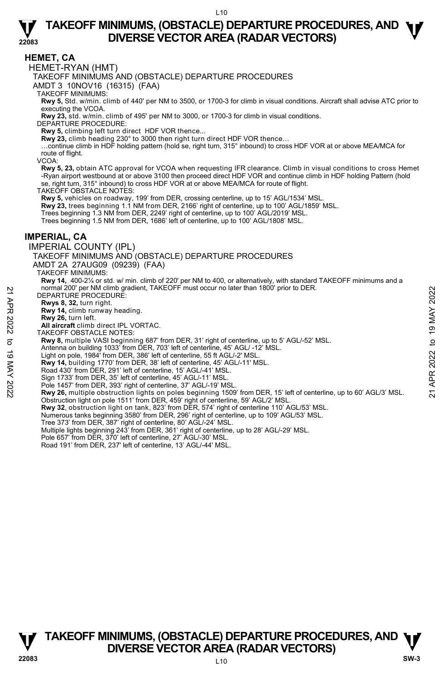#### **HEMET, CA**

**22083** 

HEMET-RYAN (HMT)

TAKEOFF MINIMUMS AND (OBSTACLE) DEPARTURE PROCEDURES

AMDT 3 10NOV16 (16315) (FAA)

TAKEOFF MINIMUMS:

**Rwy 5,** Std. w/min. climb of 440' per NM to 3500, or 1700-3 for climb in visual conditions. Aircraft shall advise ATC prior to executing the VCOA.

**Rwy 23,** std. w/min. climb of 495' per NM to 3000, or 1700-3 for climb in visual conditions.

DEPARTURE PROCEDURE:

**Rwy 5,** climbing left turn direct HDF VOR thence... **Rwy 23,** climb heading 230° to 3000 then right turn direct HDF VOR thence…

…continue climb in HDF holding pattern (hold se, right turn, 315° inbound) to cross HDF VOR at or above MEA/MCA for route of flight.

VCOA:

**Rwy 5, 23,** obtain ATC approval for VCOA when requesting IFR clearance. Climb in visual conditions to cross Hemet -Ryan airport westbound at or above 3100 then proceed direct HDF VOR and continue climb in HDF holding Pattern (hold se, right turn, 315° inbound) to cross HDF VOR at or above MEA/MCA for route of flight.

TAKEOFF OBSTACLE NOTES:

**Rwy 5,** vehicles on roadway, 199' from DER, crossing centerline, up to 15' AGL/1534' MSL.

**Rwy 23,** trees beginning 1.1 NM from DER, 2166' right of centerline, up to 100' AGL/1859' MSL.<br>Trees beginning 1.3 NM from DER, 2249' right of centerline, up to 100' AGL/2019' MSL.

Trees beginning 1.5 NM from DER, 1686' left of centerline, up to 100' AGL/1808' MSL.

#### **IMPERIAL, CA**

IMPERIAL COUNTY (IPL)

TAKEOFF MINIMUMS AND (OBSTACLE) DEPARTURE PROCEDURES

AMDT 2A 27AUG09 (09239) (FAA)

TAKEOFF MINIMUMS:

**Rwy 14,** 400-2¼ or std. w/ min. climb of 220' per NM to 400, or alternatively, with standard TAKEOFF minimums and a normal 200' per NM climb gradient, TAKEOFF must occur no later than 1800' prior to DER.

DEPARTURE PROCEDURE:

**Rwys 8, 32,** turn right. **Rwy 14,** climb runway heading.

**Rwy 26,** turn left.

**All aircraft** climb direct IPL VORTAC.

TAKEOFF OBSTACLE NOTES:

**Rwy 8,** multiple VASI beginning 687' from DER, 31' right of centerline, up to 5' AGL/-52' MSL.

Antenna on building 1033' from DER, 703' left of centerline, 45' AGL/ -12' MSL.

Light on pole, 1984' from DER, 386' left of centerline, 55 ft AGL/-2' MSL.

**Rwy 14,** building 1770' from DER, 38' left of centerline, 45' AGL/-11' MSL.

Road 430' from DER, 291' left of centerline, 15' AGL/-41' MSL.

Sign 1733' from DER, 35' left of centerline, 45' AGL/-11' MSL.

Pole 1457' from DER, 393' right of centerline, 37' AGL/-19' MSL

**Rwy 26,** multiple obstruction lights on poles beginning 1509' from DER, 15' left of centerline, up to 60' AGL/3' MSL. Obstruction light on pole 1511' from DER, 459' right of centerline, 59' AGL/2' MSL. NOMINIO PET NIM climb gradient, TAKEOFF must occur no later than 1800' prior to DER.<br>
21 Rwy 8, 32, turn right.<br>
22 Rwy 26, turn left.<br>
22 Rwy 26, turn left.<br>
22 MA climb univery heading.<br>
22 MAY 20, turn left.<br>
23 MAY 2

**Rwy 32**, obstruction light on tank, 823' from DER, 574' right of centerline 110' AGL/53' MSL.

Numerous tanks beginning 3580' from DER, 296' right of centerline, up to 109' AGL/53' MSL.

- Tree 373' from DER, 387' right of centerline, 80' AGL/-24' MSL.
- Multiple lights beginning 243' from DER, 361' right of centerline, up to 28' AGL/-29' MSL.
- Pole 657' from DER, 370' left of centerline, 27' AGL/-30' MSL.
- Road 191' from DER, 237' left of centerline, 13' AGL/-44' MSL.

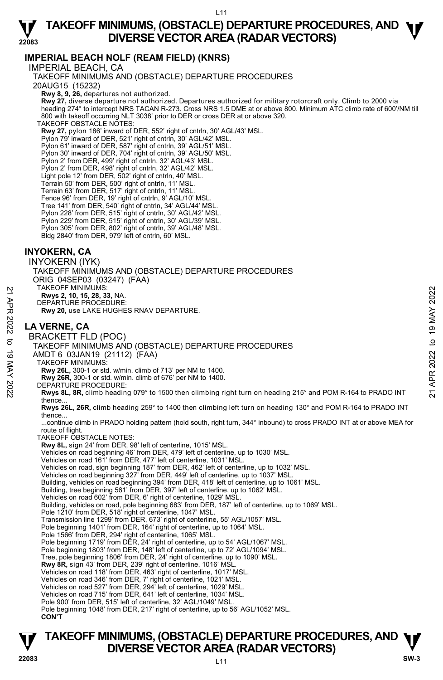#### **22083 TAKEOFF MINIMUMS, (OBSTACLE) DEPARTURE PROCEDURES, AND <b>W**<br>DIVERSE VECTOR AREA (RADAR VECTORS) **DIVERSE VECTOR AREA (RADAR VECTORS)**

### **IMPERIAL BEACH NOLF (REAM FIELD) (KNRS)**

IMPERIAL BEACH, CA TAKEOFF MINIMUMS AND (OBSTACLE) DEPARTURE PROCEDURES 20AUG15 (15232)  **Rwy 8, 9, 26,** departures not authorized.  **Rwy 27,** diverse departure not authorized. Departures authorized for military rotorcraft only. Climb to 2000 via heading 274° to intercept NRS TACAN R-273. Cross NRS 1.5 DME at or above 800. Minimum ATC climb rate of 600'/NM till 800 with takeoff occurring NLT 3038' prior to DER or cross DER at or above 320. TAKEOFF OBSTACLE NOTES: **Rwy 27,** pylon 186' inward of DER, 552' right of cntrln, 30' AGL/43' MSL.<br>Pylon 79' inward of DER, 521' right of cntrln, 30' AGL/42' MSL. Pylon 61' inward of DER, 587' right of cntrln, 39' AGL/51' MSL. Pylon 30' inward of DER, 704' right of cntrln, 39' AGL/50' MSL. Pylon 2' from DER, 499' right of cntrln, 32' AGL/43' MSL. Pylon 2' from DER, 498' right of cntrln, 32' AGL/42' MSL. Light pole 12' from DER, 502' right of cntrln, 40' MSL. Terrain 50' from DER, 500' right of cntrln, 11' MSL. Terrain 63' from DER, 517' right of cntrln, 11' MSL. Fence 96' from DER, 19' right of cntrln, 9' AGL/10' MSL. Tree 141' from DER, 540' right of cntrln, 34' AGL/44' MSL. Pylon 228' from DER, 515' right of cntrln, 30' AGL/42' MSL. Pylon 229' from DER, 515' right of cntrln, 30' AGL/39' MSL. ylon 305' from DER, 802' right of cntrln, 39' AGL/48' MSL. Bldg 2840' from DER, 979' left of cntrln, 60' MSL. **INYOKERN, CA**  INYOKERN (IYK) TAKEOFF MINIMUMS AND (OBSTACLE) DEPARTURE PROCEDURES ORIG 04SEP03 (03247) (FAA) TAKEOFF MINIMUMS: **Rwys 2, 10, 15, 28, 33,** NA. DEPARTURE PROCEDURE: **Rwy 20,** use LAKE HUGHES RNAV DEPARTURE. **LA VERNE, CA**  BRACKETT FLD (POC) TAKEOFF MINIMUMS AND (OBSTACLE) DEPARTURE PROCEDURES AMDT 6 03JAN19 (21112) (FAA) TAKEOFF MINIMUMS: **Rwy 26L,** 300-1 or std. w/min. climb of 713' per NM to 1400. **Rwy 26R,** 300-1 or std. w/min. climb of 676' per NM to 1400. DEPARTURE PROCEDURE: **Rwys 8L, 8R,** climb heading 079° to 1500 then climbing right turn on heading 215° and POM R-164 to PRADO INT thence. **Rwys 26L, 26R,** climb heading 259° to 1400 then climbing left turn on heading 130° and POM R-164 to PRADO INT thence... ...continue climb in PRADO holding pattern (hold south, right turn, 344° inbound) to cross PRADO INT at or above MEA for route of flight. TAKEOFF OBSTACLE NOTES: **Rwy 8L,** sign 24' from DER, 98' left of centerline, 1015' MSL. Vehicles on road beginning 46' from DER, 479' left of centerline, up to 1030' MSL. Vehicles on road 161' from DER, 477' left of centerline, 1031' MSL. Vehicles on road, sign beginning 187' from DER, 462' left of centerline, up to 1032' MSL. Vehicles on road beginning 327' from DER, 449' left of centerline, up to 1037' MSL. Building, vehicles on road beginning 394' from DER, 418' left of centerline, up to 1061' MSL.<br>Building, tree beginning 561' from DER, 397' left of centerline, up to 1062' MSL. Vehicles on road 602' from DER, 6' right of centerline, 1029' MSL. Building, vehicles on road, pole beginning 683' from DER, 187' left of centerline, up to 1069' MSL. Pole 1210' from DER, 518' right of centerline, 1047' MSL. Transmission line 1299' from DER, 673' right of centerline, 55' AGL/1057' MSL. Pole beginning 1401' from DER, 164' right of centerline, up to 1064' MSL. Pole 1566' from DER, 294' right of centerline, 1065' MSL. Pole beginning 1719' from DER, 24' right of centerline, up to 54' AGL/1067' MSL. Pole beginning 1803' from DER, 148' left of centerline, up to 72' AGL/1094' MSL. Tree, pole beginning 1806' from DER, 24' right of centerline, up to 1090' MSL. **Rwy 8R,** sign 43' from DER, 239' right of centerline, 1016' MSL. Vehicles on road 118' from DER, 463' right of centerline, 1017' MSL. Vehicles on road 346' from DER, 7' right of centerline, 1021' MSL. Vehicles on road 527' from DER, 294' left of centerline, 1029' MSL. Vehicles on road 715' from DER, 641' left of centerline, 1034' MSL. Pole 900' from DER, 515' left of centerline, 32' AGL/1049' MSL Pole beginning 1048' from DER, 217' right of centerline, up to 56' AGL/1052' MSL. **CON'T** 22 TAKEOFF MINIMUMS:<br>
22 **EXECUTE:**<br>
22 **EXECUTE:**<br>
23 **EXECUTE:**<br>
23 **EXECUTE:**<br>
23 **EXECUTE:**<br>
23 **EXECUTE:**<br>
24 **EXECUTE:**<br>
24 **EXECUTE:**<br>
24 **EXECUTE:**<br>
25 **EXECUTE:**<br>
25 **EXECUTE:**<br>
20 **EXECUTE:**<br>
20 **EXECUTE:**<br>
20

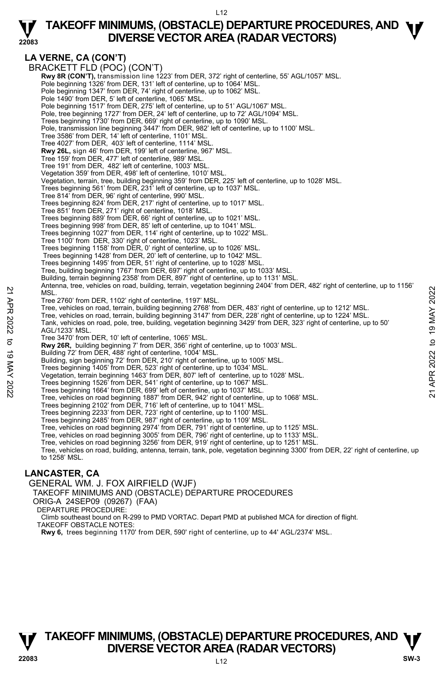

**LA VERNE, CA (CON'T)**  BRACKETT FLD (POC) (CON'T) **Rwy 8R (CON'T),** transmission line 1223' from DER, 372' right of centerline, 55' AGL/1057' MSL. Pole beginning 1326' from DER, 131' left of centerline, up to 1064' MSL. Pole beginning 1347' from DER, 74' right of centerline, up to 1062' MSL. Pole 1490' from DER, 5' left of centerline, 1065' MSL. Pole beginning 1517' from DER, 275' left of centerline, up to 51' AGL/1067' MSL. Pole, tree beginning 1727' from DER, 24' left of centerline, up to 72' AGL/1094' MSL. Trees beginning 1730' from DER, 669' right of centerline, up to 1090' MSL. Pole, transmission line beginning 3447' from DER, 982' left of centerline, up to 1100' MSL. Tree 3586' from DER, 14' left of centerline, 1101' MSL. Tree 4027' from DER, 403' left of centerline, 1114' MSL. **Rwy 26L,** sign 46' from DER, 199' left of centerline, 967' MSL. Tree 159' from DER, 477' left of centerline, 989' MSL. Tree 191' from DER, 482' left of centerline, 1003' MSL. Vegetation 359' from DER, 498' left of centerline, 1010' MSL. Vegetation, terrain, tree, building beginning 359' from DER, 225' left of centerline, up to 1028' MSL. Trees beginning 561' from DER, 231' left of centerline, up to 1037' MSL. Tree 814' from DER, 96' right of centerline, 990' MSL. Trees beginning 824' from DER, 217' right of centerline, up to 1017' MSL. Tree 851' from DER, 271' right of centerline, 1018' MSL. Trees beginning 889' from DER, 66' right of centerline, up to 1021' MSL. Trees beginning 998' from DER, 85' left of centerline, up to 1041' MSL. Trees beginning 1027' from DER, 114' right of centerline, up to 1022' MSL. Tree 1100' from DER, 330' right of centerline, 1023' MSL. Trees beginning 1158' from DER, 0' right of centerline, up to 1026' MSL. Trees beginning 1428' from DER, 20' left of centerline, up to 1042' MSL. Trees beginning 1495' from DER, 51' right of centerline, up to 1028' MSL. Tree, building beginning 1767' from DER, 697' right of centerline, up to 1033' MSL. Building, terrain beginning 2358' from DER, 897' right of centerline, up to 1131' MSI Antenna, tree, vehicles on road, building, terrain, vegetation beginning 2404' from DER, 482' right of centerline, up to 1156' **MSL** Tree 2760' from DER, 1102' right of centerline, 1197' MSL. Tree, vehicles on road, terrain, building beginning 2768' from DER, 483' right of centerline, up to 1212' MSL. Tree, vehicles on road, terrain, building beginning 3147' from DER, 228' right of centerline, up to 1224' MSL. Tank, vehicles on road, pole, tree, building, vegetation beginning 3429' from DER, 323' right of centerline, up to 50' AGL/1233' MSL. Tree 3470' from DER, 10' left of centerline, 1065' MSL. **Rwy 26R,** building beginning 7' from DER, 356' right of centerline, up to 1003' MSL. Building 72' from DER, 488' right of centerline, 1004' MSL. Building, sign beginning 72' from DER, 210' right of centerline, up to 1005' MSL. Trees beginning 1405' from DER, 523' right of centerline, up to 1034' MSL. Vegetation, terrain beginning 1463' from DER, 807' left of centerline, up to 1028' MSL. Trees beginning 1526' from DER, 541' right of centerline, up to 1067' MSL. Trees beginning 1664' from DER, 699' left of centerline, up to 1037' MSL. Tree, vehicles on road beginning 1887' from DER, 942' right of centerline, up to 1068' MSL. Trees beginning 2102' from DER, 716' left of centerline, up to 1041' MSL. Trees beginning 2233' from DER, 723' right of centerline, up to 1100' MSL. Trees beginning 2485' from DER, 987' right of centerline, up to 1109' MSL. Tree, vehicles on road beginning 2974' from DER, 791' right of centerline, up to 1125' MSL. Tree, vehicles on road beginning 3005' from DER, 796' right of centerline, up to 1133' MSL. Tree, vehicles on road beginning 3256' from DER, 919' right of centerline, up to 1251' MSL. Tree, vehicles on road, building, antenna, terrain, tank, pole, vegetation beginning 3300' from DER, 22' right of centerline, up to 1258' MSL. NET THE 2020 from DER, 102 right of center ine, up to 1032 in the 11022 VISL.<br>
Tree, vehicles on road, termin, building beginning 2768' from DER, 483' right of centerline, up to 1212' MSL.<br>
Tree, vehicles on road, termin,

#### **LANCASTER, CA**

GENERAL WM. J. FOX AIRFIELD (WJF)

TAKEOFF MINIMUMS AND (OBSTACLE) DÉPARTURE PROCEDURES

- ORIG-A 24SEP09 (09267) (FAA)
- DEPARTURE PROCEDURE:

Climb southeast bound on R-299 to PMD VORTAC. Depart PMD at published MCA for direction of flight.

- TAKEOFF OBSTACLE NOTES:
- **Rwy 6,** trees beginning 1170' from DER, 590' right of centerline, up to 44' AGL/2374' MSL.



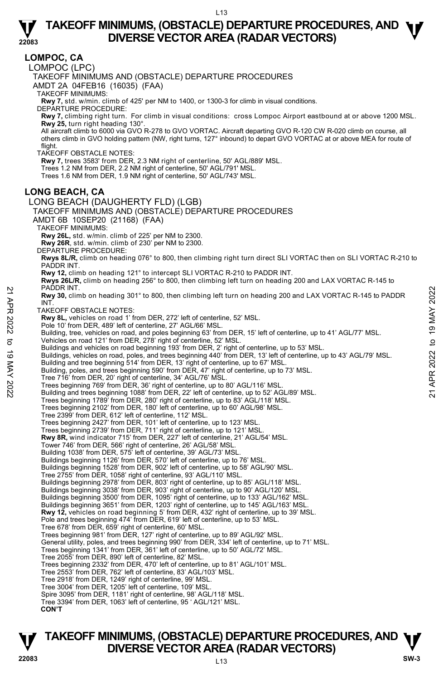**LOMPOC, CA** 

**22083** 

LOMPOC (LPC)

TAKEOFF MINIMUMS AND (OBSTACLE) DEPARTURE PROCEDURES

AMDT 2A 04FEB16 (16035) (FAA)

TAKEOFF MINIMUMS:

**Rwy 7,** std. w/min. climb of 425' per NM to 1400, or 1300-3 for climb in visual conditions. DEPARTURE PROCEDURE:

**Rwy 7,** climbing right turn. For climb in visual conditions: cross Lompoc Airport eastbound at or above 1200 MSL. **Rwy 25,** turn right heading 130°.

All aircraft climb to 6000 via GVO R-278 to GVO VORTAC. Aircraft departing GVO R-120 CW R-020 climb on course, all<br>others climb in GVO holding pattern (NW, right turns, 127° inbound) to depart GVO VORTAC at or above MEA fo flight.

TAKEOFF OBSTACLE NOTES:

**Rwy 7,** trees 3583' from DER, 2.3 NM right of centerline, 50' AGL/889' MSL.

Trees 1.2 NM from DER, 2.2 NM right of centerline, 50' AGL/791' MSL.

Trees 1.6 NM from DER, 1.9 NM right of centerline, 50' AGL/743' MSL.

#### **LONG BEACH, CA**

LONG BEACH (DAUGHERTY FLD) (LGB) TAKEOFF MINIMUMS AND (OBSTACLE) DEPARTURE PROCEDURES AMDT 6B 10SEP20 (21168) (FAA)

TAKEOFF MINIMUMS:

**Rwy 26L,** std. w/min. climb of 225' per NM to 2300.

**Rwy 26R**, std. w/min. climb of 230' per NM to 2300.

DEPARTURE PROCEDURE:

**Rwys 8L/R,** climb on heading 076° to 800, then climbing right turn direct SLI VORTAC then on SLI VORTAC R-210 to<br>PADDR INT.

**Rwy 12,** climb on heading 121° to intercept SLI VORTAC R-210 to PADDR INT.

**Rwys 26L/R,** climb on heading 256° to 800, then climbing left turn on heading 200 and LAX VORTAC R-145 to<br>PADDR INT.

**Rwy 30,** climb on heading 301° to 800, then climbing left turn on heading 200 and LAX VORTAC R-145 to PADDR **INT** PADUN: INI.<br> **PADUN: INI.** APP<br> **EVALUS ON THE SET OF OBSTACLE NOTES:**<br>
TAKEOFF OBSTACLE NOTES:<br>
TAKEOFF OBSTACLE NOTES:<br> **EVALUS ON THE SET OF A SET OF A SET OF A SET OF A SET OF A SET ON THE SET ON THE SET ON THE SET ON** 

TAKEOFF OBSTACLE NOTES:

**Rwy 8L,** vehicles on road 1' from DER, 272' left of centerline, 52' MSL.

Pole 10' from DER, 489' left of centerline, 27' AGL/66' MSL.

Building, tree, vehicles on road, and poles beginning 63' from DER, 15' left of centerline, up to 41' AGL/77' MSL.

Vehicles on road 121' from DER, 278' right of centerline, 52' MSL. Buildings and vehicles on road beginning 193' from DER, 2' right of centerline, up to 53' MSL.

Buildings, vehicles on road, poles, and trees beginning 440' from DER, 13' left of centerline, up to 43' AGL/79' MSL.<br>Building and tree beginning 514' from DER, 13' right of centerline, up to 67' MSL.

Building, poles, and trees beginning 590' from DER, 47' right of centerline, up to 73' MSL.

Tree 716' from DER, 20' right of centerline, 34' AGL/76' MSL.

Trees beginning 769' from DER, 36' right of centerline, up to 80' AGL/116' MSL.

Building and trees beginning 1088' from DER, 22' left of centerline, up to 52' AGL/89' MSL.

Trees beginning 1789' from DER, 280' right of centerline, up to 83' AGL/118' MSL.

Trees beginning 2102' from DER, 180' left of centerline, up to 60' AGL/98' MSL. Tree 2399' from DER, 612' left of centerline, 112' MSL.

Trees beginning 2427' from DER, 101' left of centerline, up to 123' MSL.

Trees beginning 2739' from DER, 711' right of centerline, up to 121' MSL.

**Rwy 8R,** wind indicator 715' from DER, 227' left of centerline, 21' AGL/54' MSL.

Tower 746' from DER, 566' right of centerline, 26' AGL/58' MSL.

Building 1038' from DER, 575' left of centerline, 39' AGL/73' MSL.

Buildings beginning 1126' from DER, 570' left of centerline, up to 76' MSL. Buildings beginning 1528' from DER, 902' left of centerline, up to 58' AGL/90' MSL.

Tree 2755' from DER, 1058' right of centerline, 93' AGL/110' MSL.

Buildings beginning 2978' from DER, 803' right of centerline, up to 85' AGL/118' MSL. Buildings beginning 3038' from DER, 903' right of centerline, up to 90' AGL/120' MSL.

Buildings beginning 3500' from DER, 1095' right of centerline, up to 133' AGL/162' MSL.

Buildings beginning 3651' from DER, 1203' right of centerline, up to 145' AGL/163' MSL.

**Rwy 12,** vehicles on road beginning 5' from DER, 432' right of centerline, up to 39' MSL.<br>Pole and trees beginning 474' from DER, 619' left of centerline, up to 53' MSL.

Tree 678' from DER, 659' right of centerline, 60' MSL.

Trees beginning 981' from DER, 127' right of centerline, up to 89' AGL/92' MSL.

General utility, poles, and trees beginning 990' from DER, 334' left of centerline, up to 71' MSL.

Trees beginning 1341' from DER, 361' left of centerline, up to 50' AGL/72' MSL.

Tree 2055' from DER, 890' left of centerline, 82' MSL.

Trees beginning 2332' from DER, 470' left of centerline, up to 81' AGL/101' MSL.

Tree 2553' from DER, 762' left of centerline, 83' AGL/103' MSL.

Tree 2918' from DER, 1249' right of centerline, 99' MSL.

Tree 3004' from DER, 1205' left of centerline, 109' MSL.

Spire 3095' from DER, 1181' right of centerline, 98' AGL/118' MSL. Tree 3394' from DER, 1063' left of centerline, 95 ' AGL/121' MSL.

 **CON'T**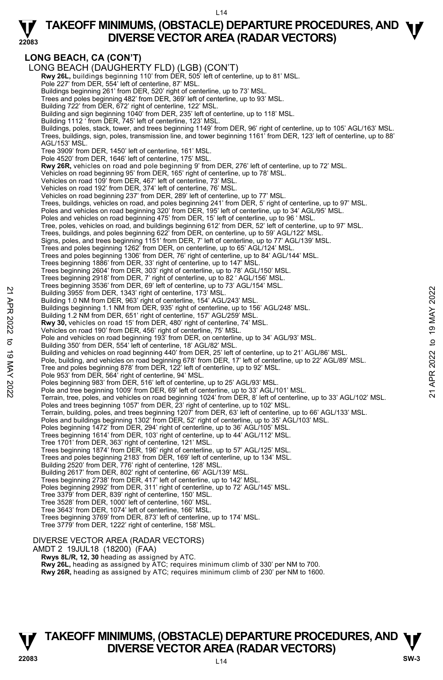## **TAKEOFF MINIMUMS, (OBSTACLE) DEPARTURE PROCEDURES, AND <b>W**<br>DIVERSE VECTOR AREA (RADAR VECTORS) **DIVERSE VECTOR AREA (RADAR VECTORS)**

### **LONG BEACH, CA (CON'T)**

**22083** 

LONG BEACH (DAUGHERTY FLD) (LGB) (CON'T)  **Rwy 26L,** buildings beginning 110' from DER, 505' left of centerline, up to 81' MSL. Pole 227' from DER, 554' left of centerline, 87' MSL. Buildings beginning 261' from DER, 520' right of centerline, up to 73' MSL. Trees and poles beginning 482' from DER, 369' left of centerline, up to 93' MSL. Building 722' from DER, 672' right of centerline, 122' MSL. Building and sign beginning 1040' from DER, 235' left of centerline, up to 118' MSL. Building 1112 ' from DER, 745' left of centerline, 123' MSL. Buildings, poles, stack, tower, and trees beginning 1149' from DER, 96' right of centerline, up to 105' AGL/163' MSL.<br>Trees, buildings, sign, poles, transmission line, and tower beginning 1161' from DER, 123' left of cente AGL/153' MSL. Tree 3909' from DER, 1450' left of centerline, 161' MSL. Pole 4520' from DER, 1646' left of centerline, 175' MSL. **Rwy 26R,** vehicles on road and pole beginning 9' from DER, 276' left of centerline, up to 72' MSL. Vehicles on road beginning 95' from DER, 165' right of centerline, up to 78' MSL. Vehicles on road 109' from DER, 467' left of centerline, 73' MSL. Vehicles on road 192' from DER, 374' left of centerline, 76' MSL. Vehicles on road beginning 237' from DER, 289' left of centerline, up to 77' MSL. Trees, buildings, vehicles on road, and poles beginning 241' from DER, 5' right of centerline, up to 97' MSL.<br>Poles and vehicles on road beginning 320' from DER, 195' left of centerline, up to 34' AGL/95' MSL. Poles and vehicles on road beginning 475' from DER, 15' left of centerline, up to 96 ' MSL. Tree, poles, vehicles on road, and buildings beginning 612' from DER, 52' left of centerline, up to 97' MSL. Trees, buildings, and poles beginning 622' from DER, on centerline, up to 59' AGL/122' MSL. Signs, poles, and trees beginning 1151' from DER, 7' left of centerline, up to 77' AGL/139' MSL. Trees and poles beginning 1262' from DER, on centerline, up to 65' AGL/124' MSL. Trees and poles beginning 1306' from DER, 76' right of centerline, up to 84' AGL/144' MSL. Trees beginning 1886' from DER, 33' right of centerline, up to 147' MSL. Trees beginning 2604' from DER, 303' right of centerline, up to 78' AGL/150' MSL. Trees beginning 2918' from DER, 7' right of centerline, up to 82 ' AGL/156' MSL. Trees beginning 3536' from DER, 69' left of centerline, up to 73' AGL/154' MSL. Building 3955' from DER, 1343' right of centerline, 173' MSL. Building 1.0 NM from DER, 963' right of centerline, 154' AGL/243' MSL. Buildings beginning 1.1 NM from DER, 935' right of centerline, up to 156' AGL/248' MSL. Building 1.2 NM from DER, 651' right of centerline, 157' AGL/259' MSL. **Rwy 30,** vehicles on road 15' from DER, 480' right of centerline, 74' MSL. Vehicles on road 190' from DER, 456' right of centerline, 75' MSL. Pole and vehicles on road beginning 193' from DER, on centerline, up to 34' AGL/93' MSL. Building 350' from DER, 554' left of centerline, 18' AGL/82' MSL. Building and vehicles on road beginning 440' from DER, 25' left of centerline, up to 21' AGL/86' MSL. Pole, building, and vehicles on road beginning 678' from DER, 17' left of centerline, up to 22' AGL/89' MSL. Tree and poles beginning 878' from DER, 122' left of centerline, up to 92' MSL. Pole 953' from DER, 564' right of centerline, 94' MSL. Poles beginning 983' from DER, 516' left of centerline, up to 25' AGL/93' MSL Pole and tree beginning 1009' from DER, 69' left of centerline, up to 33' AGL/101' MSL. Terrain, tree, poles, and vehicles on road beginning 1024' from DER, 8' left of centerline, up to 33' AGL/102' MSL. Poles and trees beginning 1057' from DER, 23' right of centerline, up to 102' MSL. Terrain, building, poles, and trees beginning 1207' from DER, 63' left of centerline, up to 66' AGL/133' MSL. Poles and buildings beginning 1302' from DER, 52' right of centerline, up to 35' AGL/103' MSL. Poles beginning 1472' from DER, 294' right of centerline, up to 36' AGL/105' MSL. Trees beginning 1614' from DER, 103' right of centerline, up to 44' AGL/112' MSL. Tree 1701' from DER, 363' right of centerline, 121' MSL. Trees beginning 1874' from DER, 196' right of centerline, up to 57' AGL/125' MSL. Trees and poles beginning 2183' from DER, 169' left of centerline, up to 134' MSL. Building 2520' from DER, 776' right of centerline, 128' MSL. Building 2617' from DER, 802' right of centerline, 66' AGL/139' MSL. Trees beginning 2738' from DER, 417' left of centerline, up to 142' MSL. Poles beginning 2992' from DER, 311' right of centerline, up to 72' AGL/145' MSL. Tree 3379' from DER, 839' right of centerline, 150' MSL. Tree 3528' from DER, 1000' left of centerline, 160' MSL. Tree 3643' from DER, 1074' left of centerline, 166' MSL. Trees beginning 3769' from DER, 873' left of centerline, up to 174' MSL. Tree 3779' from DER, 1222' right of centerline, 158' MSL. DIVERSE VECTOR AREA (RADAR VECTORS) AMDT 2 19JUL18 (18200) (FAA)  **Rwys 8L/R, 12, 30** heading as assigned by ATC. **Rwy 26L,** heading as assigned by ATC; requires minimum climb of 330' per NM to 700. 22 Building 3955' from DER, 1343' right of centerline, 173' MSL.<br>
Building 3955' from DER, 933' right of centerline, 154' AGL/243' MSL.<br>
Building 3955' from DER, 1343' right of centerline, 154' AGL/248' MSL.<br>
Building 1.0

### $114$ **TAKEOFF MINIMUMS, (OBSTACLE) DEPARTURE PROCEDURES, AND**  $\Psi$ **DIVERSE VECTOR AREA (RADAR VECTORS) 22083 SW-3**

**Rwy 26R,** heading as assigned by ATC; requires minimum climb of 230' per NM to 1600.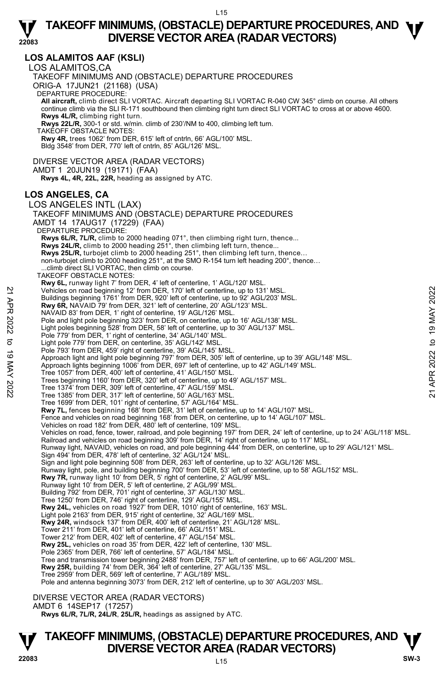#### **22083 LOS ALAMITOS AAF (KSLI)**  LOS ALAMITOS,CA TAKEOFF MINIMUMS AND (OBSTACLE) DEPARTURE PROCEDURES ORIG-A 17JUN21 (21168) (USA) DEPARTURE PROCEDURE: **All aircraft,** climb direct SLI VORTAC. Aircraft departing SLI VORTAC R-040 CW 345° climb on course. All others continue climb via the SLI R-171 southbound then climbing right turn direct SLI VORTAC to cross at or above 4600.  **Rwys 4L/R,** climbing right turn.  **Rwys 22L/R,** 300-1 or std. w/min. climb of 230'/NM to 400, climbing left turn. TAKEOFF OBSTACLE NOTES: **Rwy 4R,** trees 1062' from DER, 615' left of cntrln, 66' AGL/100' MSL. Bldg 3548' from DER, 770' left of cntrln, 85' AGL/126' MSL. DIVERSE VECTOR AREA (RADAR VECTORS) AMDT 1 20JUN19 (19171) (FAA)  **Rwys 4L, 4R, 22L, 22R,** heading as assigned by ATC. **LOS ANGELES, CA**  LOS ANGELES INTL (LAX) TAKEOFF MINIMUMS AND (OBSTACLE) DEPARTURE PROCEDURES AMDT 14 17AUG17 (17229) (FAA) DEPARTURE PROCEDURE: **Rwys 6L/R, 7L/R,** climb to 2000 heading 071°, then climbing right turn, thence... **Rwys 24L/R,** climb to 2000 heading 251°, then climbing left turn, thence... **Rwys 25L/R,** turbojet climb to 2000 heading 251°, then climbing left turn, thence…<br>non-turbojet climb to 2000 heading 251°, at the SMO R-154 turn left heading 200°, thence… .climb direct SLI VORTAC, then climb on course. TAKEOFF OBSTACLE NOTES: **Rwy 6L,** runway light 7' from DER, 4' left of centerline, 1' AGL/120' MSL. Vehicles on road beginning 12' from DER, 170' left of centerline, up to 131' MSL. Buildings beginning 1761' from DER, 920' left of centerline, up to 92' AGL/203' MSL. **Rwy 6R,** NAVAID 79' from DER, 321' left of centerline, 20' AGL/123' MSL. NAVAID 83' from DER, 1' right of centerline, 19' AGL/126' MSL. Pole and light pole beginning 323' from DER, on centerline, up to 16' AGL/138' MSL. Light poles beginning 528' from DER, 58' left of centerline, up to 30' AGL/137' MSL. Pole 779' from DER, 1' right of centerline, 34' AGL/140' MSL. Light pole 779' from DER, on centerline, 35' AGL/142' MSL. Pole 793' from DER, 459' right of centerline, 39' AGL/145' MSL. Approach light and light pole beginning 797' from DER, 305' left of centerline, up to 39' AGL/148' MSL.<br>Approach lights beginning 1006' from DER, 697' left of centerline, up to 42' AGL/149' MSL. Tree 1057' from DER, 400' left of centerline, 41' AGL/150' MSL. Trees beginning 1160' from DER, 320' left of centerline, up to 49' AGL/157' MSL. Tree 1374' from DER, 309' left of centerline, 47' AGL/159' MSL. Tree 1385' from DER, 317' left of centerline, 50' AGL/163' MSL. Tree 1699' from DER, 101' right of centerline, 57' AGL/164' MSL. Rwy 7L, fences beginning 168' from DER, 31' left of centerline, up to 14' AGL/107' MSL Fence and vehicles on road beginning 168' from DER, on centerline, up to 14' AGL/107' MSL. Vehicles on road 182' from DER, 480' left of centerline, 109' MSL. Vehicles on road, fence, tower, railroad, and pole beginning 197' from DER, 24' left of centerline, up to 24' AGL/118' MSL.<br>Railroad and vehicles on road beginning 309' from DER, 14' right of centerline, up to 117' MSL. Runway light, NAVAID, vehicles on road, and pole beginning 444' from DER, on centerline, up to 29' AGL/121' MSL. Sign 494' from DER, 478' left of centerline, 32' AGL/124' MSL. Sign and light pole beginning 508' from DER, 263' left of centerline, up to 32' AGL/126' MSL.<br>Runway light, pole, and building beginning 700' from DER, 53' left of centerline, up to 58' AGL/152' MSL. **Rwy 7R,** runway light 10' from DER, 5' right of centerline, 2' AGL/99' MSL. Runway light 10' from DER, 5' left of centerline, 2' AGL/99' MSL. Building 792' from DER, 701' right of centerline, 37' AGL/130' MSL. Tree 1250' from DER, 746' right of centerline, 129' AGL/155' MSL. **Rwy 24L,** vehicles on road 1927' from DER, 1010' right of centerline, 163' MSL. Light pole 2163' from DER, 915' right of centerline, 32' AGL/169' MSL. **Rwy 24R,** windsock 137' from DER, 400' left of centerline, 21' AGL/128' MSL. Tower 211' from DER, 401' left of centerline, 66' AGL/151' MSL. Tower 212' from DER, 402' left of centerline, 47' AGL/154' MSL. **Rwy 25L,** vehicles on road 35' from DER, 422' left of centerline, 130' MSL. Pole 2365' from DER, 766' left of centerline, 57' AGL/184' MSL. Tree and transmission tower beginning 2488' from DER, 757' left of centerline, up to 66' AGL/200' MSL.<br>**Rwy 25R,** building 74' from DER, 364' left of centerline, 27' AGL/135' MSL. Tree 2959' from DER, 569' left of centerline, 7' AGL/189' MSL. Pole and antenna beginning 3073' from DER, 212' left of centerline, up to 30' AGL/203' MSL. Vehicles on road beginning 12' from DER, 170' left of centerline, up to 131' MSL.<br>
Buyidings beginning 1761' from DER, 320' left of centerline, 20' AGU/123' MSL.<br>
Rwy 6R, NAVAID 79' from DER, 321' left of centerline, 20'

DIVERSE VECTOR AREA (RADAR VECTORS)

AMDT 6 14SEP17 (17257)

 **Rwys 6L/R, 7L/R, 24L/R**, **25L/R,** headings as assigned by ATC.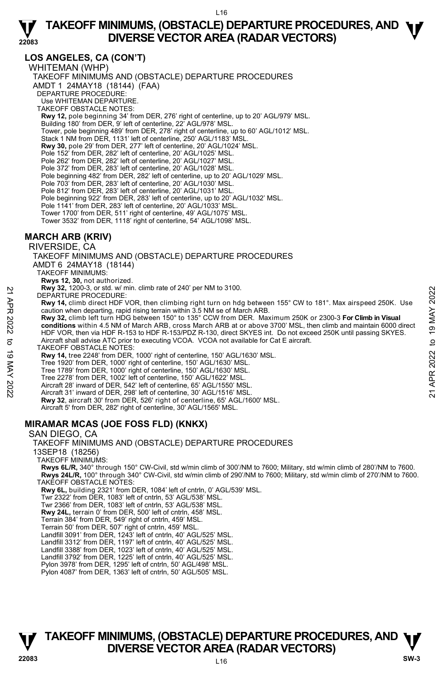#### **LOS ANGELES, CA (CON'T)**

WHITEMAN (WHP)

**22083** 

TAKEOFF MINIMUMS AND (OBSTACLE) DEPARTURE PROCEDURES AMDT 1 24MAY18 (18144) (FAA) DEPARTURE PROCEDURE: Use WHITEMAN DEPARTURE. TAKEOFF OBSTACLE NOTES: **Rwy 12,** pole beginning 34' from DER, 276' right of centerline, up to 20' AGL/979' MSL. Building 180' from DER, 9' left of centerline, 22' AGL/978' MSL. Tower, pole beginning 489' from DER, 278' right of centerline, up to 60' AGL/1012' MSL. Stack 1 NM from DER, 1131' left of centerline, 250' AGL/1183' MSL. **Rwy 30,** pole 29' from DER, 277' left of centerline, 20' AGL/1024' MSL. Pole 152' from DER, 282' left of centerline, 20' AGL/1025' MSL. Pole 262' from DER, 282' left of centerline, 20' AGL/1027' MSL. Pole 372' from DER, 283' left of centerline, 20' AGL/1028' MSL. Pole beginning 482' from DER, 282' left of centerline, up to 20' AGL/1029' MSL. Pole 703' from DER, 283' left of centerline, 20' AGL/1030' MSL. Pole 812' from DER, 283' left of centerline, 20' AGL/1031' MSL. Pole beginning 922' from DER, 283' left of centerline, up to 20' AGL/1032' MSL. Pole 1141' from DER, 283' left of centerline, 20' AGL/1033' MSL Tower 1700' from DER, 511' right of centerline, 49' AGL/1075' MSL. Tower 3532' from DER, 1118' right of centerline, 54' AGL/1098' MSL.

#### **MARCH ARB (KRIV)**

RIVERSIDE, CA

TAKEOFF MINIMUMS AND (OBSTACLE) DEPARTURE PROCEDURES AMDT 6 24MAY18 (18144) TAKEOFF MINIMUMS:

**Rwys 12, 30,** not authorized.

**Rwy 32,** 1200-3, or std. w/ min. climb rate of 240' per NM to 3100.

DEPARTURE PROCEDURE:

**Rwy 14,** climb direct HDF VOR, then climbing right turn on hdg between 155° CW to 181°. Max airspeed 250K. Use caution when departing, rapid rising terrain within 3.5 NM se of March ARB.

**Rwy 32,** climb left turn HDG between 150° to 135° CCW from DER. Maximum 250K or 2300-3 **For Climb in Visual conditions** within 4.5 NM of March ARB, cross March ARB at or above 3700' MSL, then climb and maintain 6000 direct HDF VOR, then via HDF R-153 to HDF R-153/PDZ R-130, direct SKYES int. Do not exceed 250K until passing SKYES. Aircraft shall advise ATC prior to executing VCOA. VCOA not available for Cat E aircraft. EXAM 32, 1200 John State Monteville, 612 ABC With SS Ween 155° CW to 181°. Max airspeed 250K. Use<br>
221 DEPARTURE PROCEDURE:<br> **Rwy 14**, climb direct HDF VOR, then climbing right turn on hdg between 155° CW to 181°. Max air

TAKEOFF OBSTACLE NOTES:

**Rwy 14,** tree 2248' from DER, 1000' right of centerline, 150' AGL/1630' MSL.

Tree 1920' from DER, 1000' right of centerline, 150' AGL/1630' MSL.

Tree 1789' from DER, 1000' right of centerline, 150' AGL/1630' MSL.

Tree 2278' from DER, 1002' left of centerline, 150' AGL/1622' MSL.

Aircraft 28' inward of DER, 542' left of centerline, 65' AGL/1550' MSL. Aircraft 31' inward of DER, 298' left of centerline, 30' AGL/1516' MSL.

**Rwy 32**, aircraft 30' from DER, 526' right of centerline, 65' AGL/1600' MSL.

Aircraft 5' from DER, 282' right of centerline, 30' AGL/1565' MSL.

### **MIRAMAR MCAS (JOE FOSS FLD) (KNKX)**

#### SAN DIEGO, CA

TAKEOFF MINIMUMS AND (OBSTACLE) DEPARTURE PROCEDURES 13SEP18 (18256)

TAKEOFF MINIMUMS:

**Rwys 6L/R,** 340° through 150° CW-Civil, std w/min climb of 300'/NM to 7600; Military, std w/min climb of 280'/NM to 7600. **Rwys 24L/R,** 100° through 340° CW-Civil, std w/min climb of 290'/NM to 7600; Military, std w/min climb of 270'/NM to 7600. TAKEOFF OBSTACLE NOTES:

**Rwy 6L,** building 2321' from DER, 1084' left of cntrln, 0' AGL/539' MSL.

Twr 2322' from DER, 1083' left of cntrln, 53' AGL/538' MSL.

Twr 2366' from DER, 1083' left of cntrln, 53' AGL/538' MSL.

**Rwy 24L,** terrain 0' from DER, 500' left of cntrln, 458' MSL.

Terrain 384' from DER, 549' right of cntrln, 459' MSL.

Terrain 50' from DER, 507' right of cntrln, 459' MSL.

Landfill 3091' from DER, 1243' left of cntrln, 40' AGL/525' MSL. Landfill 3312' from DER, 1197' left of cntrln, 40' AGL/525' MSL.

Landfill 3388' from DER, 1023' left of cntrln, 40' AGL/525' MSL.

Landfill 3792' from DER, 1225' left of cntrln, 40' AGL/525' MSL.

Pylon 3978' from DER, 1295' left of cntrln, 50' AGL/498' MSL.

Pylon 4087' from DER, 1363' left of cntrln, 50' AGL/505' MSL.



| J      |
|--------|
|        |
|        |
|        |
| ₹      |
| ೦<br>Ņ |
| t<br>٢ |
|        |
|        |

## **TAKEOFF MINIMUMS, (OBSTACLE) DEPARTURE PROCEDURES, AND**  $\Psi$ **DIVERSE VECTOR AREA (RADAR VECTORS) 22083 SW-3**

 $116$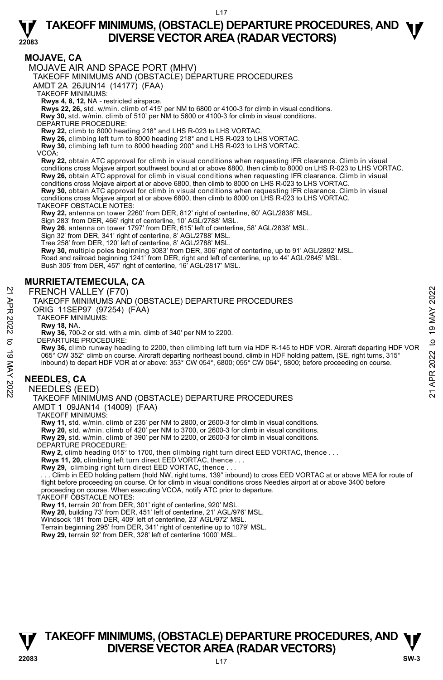

#### **MOJAVE, CA**

MOJAVE AIR AND SPACE PORT (MHV)

TAKEOFF MINIMUMS AND (OBSTACLE) DEPARTURE PROCEDURES

AMDT 2A 26JUN14 (14177) (FAA)

TAKEOFF MINIMUMS:

**Rwys 4, 8, 12,** NA - restricted airspace.

**Rwys 22, 26,** std. w/min. climb of 415' per NM to 6800 or 4100-3 for climb in visual conditions.

- **Rwy 30,** std. w/min. climb of 510' per NM to 5600 or 4100-3 for climb in visual conditions.
- DEPARTURE PROCEDURE:

**Rwy 22,** climb to 8000 heading 218° and LHS R-023 to LHS VORTAC.

**Rwy 26,** climbing left turn to 8000 heading 218° and LHS R-023 to LHS VORTAC.

**Rwy 30,** climbing left turn to 8000 heading 200° and LHS R-023 to LHS VORTAC.

VCOA:

**Rwy 22,** obtain ATC approval for climb in visual conditions when requesting IFR clearance. Climb in visual conditions cross Mojave airport southwest bound at or above 6800, then climb to 8000 on LHS R-023 to LHS VORTAC. **Rwy 26,** obtain ATC approval for climb in visual conditions when requesting IFR clearance. Climb in visual conditions cross Mojave airport at or above 6800, then climb to 8000 on LHS R-023 to LHS VORTAC.

**Rwy 30,** obtain ATC approval for climb in visual conditions when requesting IFR clearance. Climb in visual conditions cross Mojave airport at or above 6800, then climb to 8000 on LHS R-023 to LHS VORTAC.

TAKEOFF OBSTACLE NOTES:

**Rwy 22,** antenna on tower 2260' from DER, 812' right of centerline, 60' AGL/2838' MSL.

Sign 283' from DER, 466' right of centerline, 10' AGL/2788' MSL.

**Rwy 26**, antenna on tower 1797' from DER, 615' left of centerline, 58' AGL/2838' MSL.

Sign 32' from DER, 341' right of centerline, 8' AGL/2788' MSL.

Tree 258' from DER, 120' left of centerline, 8' AGL/2788' MSL.

**Rwy 30,** multiple poles beginning 3083' from DER, 306' right of centerline, up to 91' AGL/2892' MSL.

Road and railroad beginning 1241' from DER, right and left of centerline, up to 44' AGL/2845' MSL. Bush 305' from DER, 457' right of centerline, 16' AGL/2817' MSL.

#### **MURRIETA/TEMECULA, CA**

FRENCH VALLEY (F70)

TAKEOFF MINIMUMS AND (OBSTACLE) DEPARTURE PROCEDURES

ORIG 11SEP97 (97254) (FAA)

TAKEOFF MINIMUMS:

**Rwy 18,** NA.

**Rwy 36,** 700-2 or std. with a min. climb of 340' per NM to 2200. DEPARTURE PROCEDURE:

**Rwy 36,** climb runway heading to 2200, then climbing left turn via HDF R-145 to HDF VOR. Aircraft departing HDF VOR 065° CW 352° climb on course. Aircraft departing northeast bound, climb in HDF holding pattern, (SE, right turns, 315°<br>inbound) to depart HDF VOR at or above: 353° CW 054°, 6800; 055° CW 064°, 5800; before proceeding on co FRENCH VALLEY (F70)<br>
TAKEOFF MINIMUMS AND (OBSTACLE) DEPARTURE PROCEDURES<br>
ORIG 11SEP97 (97254) (FAA)<br>
NO TRIGE PROCEDURE:<br>
TAKEOFF MINIMUMS:<br>
TAKEOFF MINIMUMS:<br>
TAKEOFF MINIMUMS:<br>
TAKEOFF MINIMUMS:<br>
TAKEOFF MINIMUMS:<br>
TA

#### **NEEDLES, CA**

NEEDLES (EED)

## TAKEOFF MINIMUMS AND (OBSTACLE) DEPARTURE PROCEDURES

AMDT 1 09JAN14 (14009) (FAA)

TAKEOFF MINIMUMS:

**Rwy 11,** std. w/min. climb of 235' per NM to 2800, or 2600-3 for climb in visual conditions.<br>**Rwy 20,** std. w/min. climb of 420' per NM to 3700, or 2600-3 for climb in visual conditions.<br>**Rwy 29,** std. w/min. climb of 390

DEPARTURE PROCEDURE:

**Rwy 2,** climb heading 015° to 1700, then climbing right turn direct EED VORTAC, thence . . .

**Rwys 11, 20,** climbing left turn direct EED VORTAC, thence . . .

**Rwy 29,** climbing right turn direct EED VORTAC, thence . . .

 . . . Climb in EED holding pattern (hold NW, right turns, 139° inbound) to cross EED VORTAC at or above MEA for route of flight before proceeding on course. Or for climb in visual conditions cross Needles airport at or above 3400 before proceeding on course. When executing VCOA, notify ATC prior to departure.

TAKEOFF OBSTACLE NOTES:

**Rwy 11,** terrain 20' from DER, 301' right of centerline, 920' MSL.

**Rwy 20,** building 73' from DER, 451' left of centerline, 21' AGL/976' MSL. Windsock 181' from DER, 409' left of centerline, 23' AGL/972' MSL.

Terrain beginning 295' from DER, 341' right of centerline up to 1079' MSL.

**Rwy 29,** terrain 92' from DER, 328' left of centerline 1000' MSL.



L17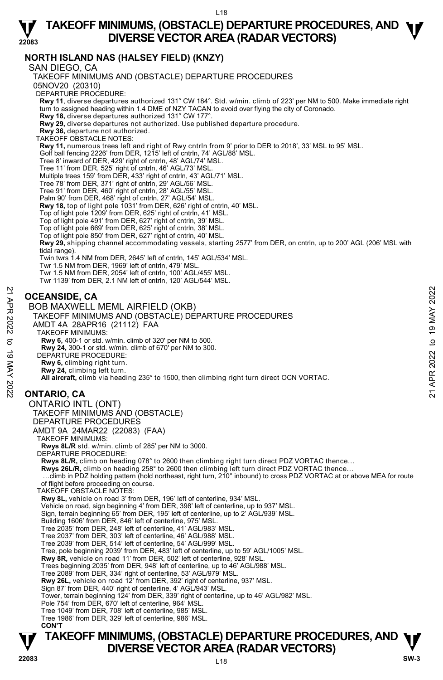## **TAKEOFF MINIMUMS, (OBSTACLE) DEPARTURE PROCEDURES, AND <b>W**<br>DIVERSE VECTOR AREA (RADAR VECTORS) **DIVERSE VECTOR AREA (RADAR VECTORS)**

### **NORTH ISLAND NAS (HALSEY FIELD) (KNZY)**

SAN DIEGO, CA

**22083** 

**TAKEOFF MINIMUMS, (OBSTACLE) DEPARTURE PROCEDURES, AND**  $\Psi$ TAKEOFF MINIMUMS AND (OBSTACLE) DEPARTURE PROCEDURES 05NOV20 (20310) DEPARTURE PROCEDURE: **Rwy 11**, diverse departures authorized 131° CW 184°. Std. w/min. climb of 223' per NM to 500. Make immediate right turn to assigned heading within 1.4 DME of NZY TACAN to avoid over flying the city of Coronado. **Rwy 18,** diverse departures authorized 131° CW 177°. **Rwy 29,** diverse departures not authorized. Use published departure procedure. **Rwy 36,** departure not authorized. TAKEOFF OBSTACLE NOTES: **Rwy 11,** numerous trees left and right of Rwy cntrln from 9' prior to DER to 2018', 33' MSL to 95' MSL. Golf ball fencing 2226' from DER, 1215' left of cntrln, 74' AGL/88' MSL. Tree 8' inward of DER, 429' right of cntrln, 48' AGL/74' MSL. Tree 11' from DER, 525' right of cntrln, 46' AGL/73' MSL. Multiple trees 159' from DER, 433' right of cntrln, 43' AGL/71' MSL. Tree 78' from DER, 371' right of cntrln, 29' AGL/56' MSL. Tree 91' from DER, 460' right of cntrln, 28' AGL/55' MSL. Palm 90' from DER, 468' right of cntrln, 27' AGL/54' MSL. **Rwy 18,** top of light pole 1031' from DER, 626' right of cntrln, 40' MSL.<br>Top of light pole 1209' from DER, 625' right of cntrln, 41' MSL. Top of light pole 491' from DER, 627' right of cntrln, 39' MSL. Top of light pole 669' from DER, 625' right of cntrln, 38' MSL. Top of light pole 850' from DER, 627' right of cntrln, 40' MSL. **Rwy 29,** shipping channel accommodating vessels, starting 2577' from DER, on cntrln, up to 200' AGL (206' MSL with tidal range). Twin twrs 1.4 NM from DER, 2645' left of cntrln, 145' AGL/534' MSL. Twr 1.5 NM from DER, 1969' left of cntrln, 479' MSL. Twr 1.5 NM from DER, 2054' left of cntrln, 100' AGL/455' MSL. Twr 1139' from DER, 2.1 NM left of cntrln, 120' AGL/544' MSL. **OCEANSIDE, CA**  BOB MAXWELL MEML AIRFIELD (OKB) TAKEOFF MINIMUMS AND (OBSTACLE) DEPARTURE PROCEDURES AMDT 4A 28APR16 (21112) FAA TAKEOFF MINIMUMS: **Rwy 6,** 400-1 or std. w/min. climb of 320' per NM to 500. **Rwy 24,** 300-1 or std. w/min. climb of 670' per NM to 300. DEPARTURE PROCEDURE: **Rwy 6,** climbing right turn. **Rwy 24,** climbing left turn. **All aircraft,** climb via heading 235° to 1500, then climbing right turn direct OCN VORTAC. **ONTARIO, CA**  ONTARIO INTL (ONT) TAKEOFF MINIMUMS AND (OBSTACLE) DEPARTURE PROCEDURES AMDT 9A 24MAR22 (22083) (FAA) TAKEOFF MINIMUMS: **Rwys 8L/R** std. w/min. climb of 285' per NM to 3000. DEPARTURE PROCEDURE: **Rwys 8L/R,** climb on heading 078° to 2600 then climbing right turn direct PDZ VORTAC thence… Rwys 26L/R, climb on heading 258° to 2600 then climbing left turn direct PDZ VORTAC thence. …climb in PDZ holding pattern (hold northeast, right turn, 210° inbound) to cross PDZ VORTAC at or above MEA for route of flight before proceeding on course. TAKEOFF OBSTACLE NOTES: **Rwy 8L,** vehicle on road 3' from DER, 196' left of centerline, 934' MSL. Vehicle on road, sign beginning 4' from DER, 398' left of centerline, up to 937' MSL. Sign, terrain beginning 65' from DER, 195' left of centerline, up to 2' AGL/939' MSL. Building 1606' from DER, 846' left of centerline, 975' MSL. Tree 2035' from DER, 248' left of centerline, 41' AGL/983' MSL. Tree 2037' from DER, 303' left of centerline, 46' AGL/988' MSL. Tree 2039' from DER, 514' left of centerline, 54' AGL/999' MSL. Tree, pole beginning 2039' from DER, 483' left of centerline, up to 59' AGL/1005' MSL. **Rwy 8R,** vehicle on road 11' from DER, 502' left of centerline, 928' MSL. Trees beginning 2035' from DER, 948' left of centerline, up to 46' AGL/988' MSL. Tree 2089' from DER, 334' right of centerline, 53' AGL/979' MSL. **Rwy 26L,** vehicle on road 12' from DER, 392' right of centerline, 937' MSL. Sign 87' from DER, 440' right of centerline, 4' AGL/943' MSL. Tower, terrain beginning 124' from DER, 339' right of centerline, up to 46' AGL/982' MSL. Pole 754' from DER, 670' left of centerline, 964' MSL. Tree 1049' from DER, 708' left of centerline, 985' MSL. Tree 1986' from DER, 329' left of centerline, 986' MSL.  **CON'T CORANSIDE, CA**<br> **21 BOB MAXWELL MEML AIRFIELD (OKB)**<br>
TAKEOFF MINIMUMS AND (OBSTACLE) DEPARTURE PROCEDURES<br>
AMDT 4A 28APR16 (21112) FAA<br>
TAKEOFF MINIMUMS:<br>
AMDT 4A 28APR16 (21112) FAA<br>
TAKEOFF MINIMUMS:<br>
TAKEOFF MINIMUMS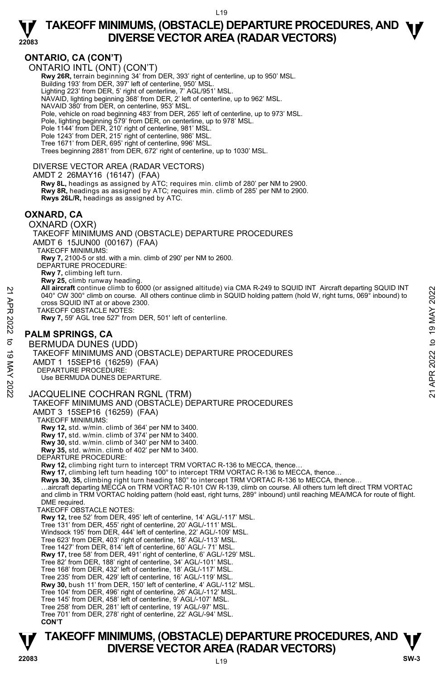

### **ONTARIO, CA (CON'T)**

ONTARIO INTL (ONT) (CON'T)

**Rwy 26R,** terrain beginning 34' from DER, 393' right of centerline, up to 950' MSL.<br>Building 193' from DER, 397' left of centerline, 950' MSL.

Lighting 223' from DER, 5' right of centerline, 7' AGL/951' MSL.

NAVAID, lighting beginning 368' from DER, 2' left of centerline, up to 962' MSL.

NAVAID 380' from DER, on centerline, 953' MSL.

Pole, vehicle on road beginning 483' from DER, 265' left of centerline, up to 973' MSL.

Pole, lighting beginning 579' from DER, on centerline, up to 978' MSL.

Pole 1144' from DER, 210' right of centerline, 981' MSL.

Pole 1243' from DER, 215' right of centerline, 986' MSL.

Tree 1671' from DER, 695' right of centerline, 996' MSL.

Trees beginning 2881' from DER, 672' right of centerline, up to 1030' MSL.

#### DIVERSE VECTOR AREA (RADAR VECTORS)

AMDT 2 26MAY16 (16147) (FAA)

 **Rwy 8L,** headings as assigned by ATC; requires min. climb of 280' per NM to 2900. **Rwy 8R,** headings as assigned by ATC; requires min. climb of 285' per NM to 2900. **Rwys 26L/R,** headings as assigned by ATC.

#### **OXNARD, CA**

OXNARD (OXR)

TAKEOFF MINIMUMS AND (OBSTACLE) DEPARTURE PROCEDURES

AMDT 6 15JUN00 (00167) (FAA)

TAKEOFF MINIMUMS: **Rwy 7,** 2100-5 or std. with a min. climb of 290' per NM to 2600. DEPARTURE PROCEDURE:

**Rwy 7,** climbing left turn.

**Rwy 25,** climb runway heading.

**All aircraft** continue climb to 6000 (or assigned altitude) via CMA R-249 to SQUID INT Aircraft departing SQUID INT 040° CW 300° climb on course. All others continue climb in SQUID holding pattern (hold W, right turns, 069° inbound) to cross SQUID INT at or above 2300.

TAKEOFF OBSTACLE NOTES:

**Rwy 7,** 59' AGL tree 527' from DER, 501' left of centerline.

#### **PALM SPRINGS, CA**

BERMUDA DUNES (UDD) TAKEOFF MINIMUMS AND (OBSTACLE) DEPARTURE PROCEDURES AMDT 1 15SEP16 (16259) (FAA) DEPARTURE PROCEDURE: Use BERMUDA DUNES DEPARTURE. 21 **All aircraft** continue climb to 6000 (or assigned altitude) via CMA R-249 to SQUID INT Aircraft departing SQUID INT<br>
2022 to 2022<br>
TAKEOFF OBSTACLE NOTES:<br>
22 TAKEOFF OBSTACLE NOTES:<br>
22 TAKEOFF OBSTACLE NOTES:<br>
22 TA

#### JACQUELINE COCHRAN RGNL (TRM)

TAKEOFF MINIMUMS AND (OBSTACLE) DEPARTURE PROCEDURES

AMDT 3 15SEP16 (16259) (FAA)

TAKEOFF MINIMUMS:

**Rwy 12,** std. w/min. climb of 364' per NM to 3400.

**Rwy 17,** std. w/min. climb of 374' per NM to 3400. **Rwy 30,** std. w/min. climb of 340' per NM to 3400.

**Rwy 35,** std. w/min. climb of 402' per NM to 3400.

DEPARTURE PROCEDURE:

**Rwy 12,** climbing right turn to intercept TRM VORTAC R-136 to MECCA, thence…

Rwy 17, climbing left turn heading 100° to intercept TRM VORTAC R-136 to MECCA, thence..

**Rwys 30, 35,** climbing right turn heading 180° to intercept TRM VORTAC R-136 to MECCA, thence…

…aircraft departing MECCA on TRM VORTAC R-101 CW R-139, climb on course. All others turn left direct TRM VORTAC<br>and climb in TRM VORTAC holding pattern (hold east, right turns, 289° inbound) until reaching MEA/MCA for rou DME required.

TAKEOFF OBSTACLE NOTES:

**Rwy 12,** tree 52' from DER, 495' left of centerline, 14' AGL/-117' MSL.

Tree 131' from DER, 455' right of centerline, 20' AGL/-111' MSL.

Windsock 195' from DER, 444' left of centerline, 22' AGL/-109' MSL.

Tree 623' from DER, 403' right of centerline, 18' AGL/-113' MSL. Tree 1427' from DER, 814' left of centerline, 60' AGL/- 71' MSL.

**Rwy 17,** tree 58' from DER, 491' right of centerline, 6' AGL/-129' MSL.

Tree 82' from DER, 188' right of centerline, 34' AGL/-101' MSL. Tree 168' from DER, 432' left of centerline, 18' AGL/-117' MSL.

Tree 235' from DER, 429' left of centerline, 16' AGL/-119' MSL.

**Rwy 30,** bush 11' from DER, 150' left of centerline, 4' AGL/-112' MSL.

Tree 104' from DER, 496' right of centerline, 26' AGL/-112' MSL.

- Tree 145' from DER, 458' left of centerline, 9' AGL/-107' MSL. Tree 258' from DER, 281' left of centerline, 19' AGL/-97' MSL.
- Tree 701' from DER, 278' right of centerline, 22' AGL/-94' MSL.

 **CON'T**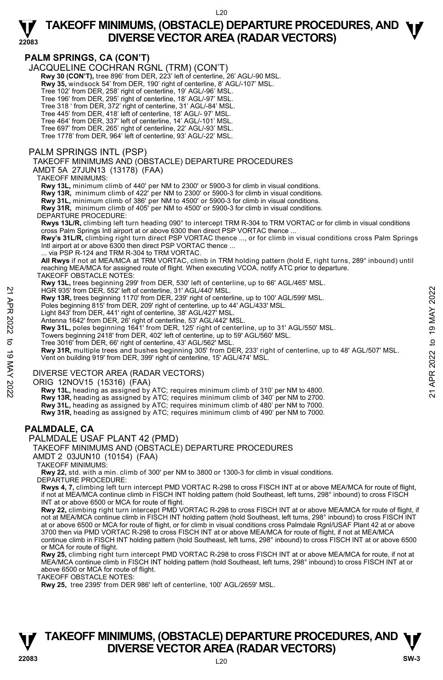# **22083**

## **TAKEOFF MINIMUMS, (OBSTACLE) DEPARTURE PROCEDURES, AND <b>W**<br>DIVERSE VECTOR AREA (RADAR VECTORS) **DIVERSE VECTOR AREA (RADAR VECTORS)**

#### **PALM SPRINGS, CA (CON'T)**

JACQUELINE COCHRAN RGNL (TRM) (CON'T)

- **Rwy 30 (CON'T),** tree 896' from DER, 223' left of centerline, 26' AGL/-90 MSL.
- **Rwy 35,** windsock 54' from DER, 190' right of centerline, 8' AGL/-107' MSL.

Tree 102' from DER, 258' right of centerline, 19' AGL/-96' MSL.

- Tree 196' from DER, 295' right of centerline, 18' AGL/-97' MSL. Tree 318 ' from DER, 372' right of centerline, 31' AGL/-84' MSL.
- Tree 445' from DER, 418' left of centerline, 18' AGL/- 97' MSL.

Tree 464' from DER, 337' left of centerline, 14' AGL/-101' MSL.

Tree 697' from DER, 265' right of centerline, 22' AGL/-93' MSL. Tree 1778' from DER, 964' left of centerline, 93' AGL/-22' MSL.

#### PALM SPRINGS INTL (PSP)

#### TAKEOFF MINIMUMS AND (OBSTACLE) DEPARTURE PROCEDURES

AMDT 5A 27JUN13 (13178) (FAA)

#### TAKEOFF MINIMUMS:

**Rwy 13L,** minimum climb of 440' per NM to 2300' or 5900-3 for climb in visual conditions.

**Rwy 13R,** minimum climb of 422' per NM to 2300' or 5900-3 for climb in visual conditions.

**Rwy 31L,** minimum climb of 386' per NM to 4500' or 5900-3 for climb in visual conditions. **Rwy 31R,** minimum climb of 405' per NM to 4500' or 5900-3 for climb in visual conditions.

#### DEPARTURE PROCEDURE:

**Rwys 13L/R,** climbing left turn heading 090° to intercept TRM R-304 to TRM VORTAC or for climb in visual conditions cross Palm Springs Intl airport at or above 6300 then direct PSP VORTAC thence ...

**Rwy's 31L/R,** climbing right turn direct PSP VORTAC thence ..., or for climb in visual conditions cross Palm Springs Intl airport at or above 6300 then direct PSP VORTAC thence ...

via PSP R-124 and TRM R-304 to TRM VORTAC.

**All Rwys** if not at MEA/MCA at TRM VORTAC, climb in TRM holding pattern (hold E, right turns, 289° inbound) until reaching MEA/MCA for assigned route of flight. When executing VCOA, notify ATC prior to departure.

TAKEOFF OBSTACLE NOTES:

**Rwy 13L,** trees beginning 299' from DER, 530' left of centerline, up to 66' AGL/465' MSL. HGR 935' from DER, 552' left of centerline, 31' AGL/440' MSL.

**Rwy 13R,** trees beginning 1170' from DER, 239' right of centerline, up to 100' AGL/599' MSL.

Poles beginning 815' from DER, 209' right of centerline, up to 44' AGL/433' MSL. Light 843' from DER, 441' right of centerline, 38' AGL/427' MSL.

Antenna 1642' from DER, 26' right of centerline, 53' AGL/442' MSL.

**Rwy 31L,** poles beginning 1641' from DER, 125' right of centerline, up to 31' AGL/550' MSL.

Towers beginning 2418' from DER, 402' left of centerline, up to 59' AGL/560' MSL. Tree 3016' from DER, 66' right of centerline, 43' AGL/562' MSL.

**Rwy 31R,** multiple trees and bushes beginning 305' from DER, 233' right of centerline, up to 48' AGL/507' MSL. Vent on building 919' from DER, 399' right of centerline, 15' AGL/474' MSL. HGR 935' from DER, 552' left of centerline, 31' AGL/440' MSL.<br>
Row 13R, tees beginning 1170' from DER, 209' right of centerline, up to 100' AGL/599' MSL.<br>
Poles beginning 815' from DER, 202' right of centerline, up to 44'

#### DIVERSE VECTOR AREA (RADAR VECTORS)

ORIG 12NOV15 (15316) (FAA)

 **Rwy 13L,** heading as assigned by ATC; requires minimum climb of 310' per NM to 4800. **Rwy 13R,** heading as assigned by ATC; requires minimum climb of 340' per NM to 2700. **Rwy 31L,** heading as assigned by ATC; requires minimum climb of 480' per NM to 7000. **Rwy 31R,** heading as assigned by ATC; requires minimum climb of 490' per NM to 7000.

#### **PALMDALE, CA**

PALMDALE USAF PLANT 42 (PMD)

#### TAKEOFF MINIMUMS AND (OBSTACLE) DEPARTURE PROCEDURES

AMDT 2 03JUN10 (10154) (FAA)

TAKEOFF MINIMUMS:

**Rwy 22,** std. with a min. climb of 300' per NM to 3800 or 1300-3 for climb in visual conditions. DEPARTURE PROCEDURE:

**Rwys 4, 7,** climbing left turn intercept PMD VORTAC R-298 to cross FISCH INT at or above MEA/MCA for route of flight, if not at MEA/MCA continue climb in FISCH INT holding pattern (hold Southeast, left turns, 298° inbound) to cross FISCH INT at or above 6500 or MCA for route of flight.

**Rwy 22,** climbing right turn intercept PMD VORTAC R-298 to cross FISCH INT at or above MEA/MCA for route of flight, if not at MEA/MCA continue climb in FISCH INT holding pattern (hold Southeast, left turns, 298° inbound) to cross FISCH INT at or above 6500 or MCA for route of flight, or for climb in visual conditions cross Palmdale Rgnl/USAF Plant 42 at or above 3700 then via PMD VORTAC R-298 to cross FISCH INT at or above MEA/MCA for route of flight, if not at MEA/MCA continue climb in FISCH INT holding pattern (hold Southeast, left turns, 298° inbound) to cross FISCH INT at or above 6500 or MCA for route of flight.

**Rwy 25,** climbing right turn intercept PMD VORTAC R-298 to cross FISCH INT at or above MEA/MCA for route, if not at MEA/MCA continue climb in FISCH INT holding pattern (hold Southeast, left turns, 298° inbound) to cross FISCH INT at or above 6500 or MCA for route of flight.

TAKEOFF OBSTACLE NOTES:

**Rwy 25,** tree 2395' from DER 986' left of centerline, 100' AGL/2659' MSL.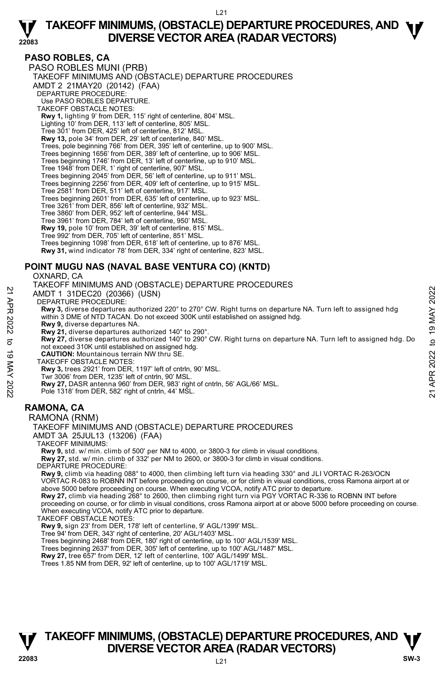#### **PASO ROBLES, CA**

**22083** 

PASO ROBLES MUNI (PRB) TAKEOFF MINIMUMS AND (OBSTACLE) DEPARTURE PROCEDURES AMDT 2 21MAY20 (20142) (FAA) DEPARTURE PROCEDURE: Use PASO ROBLES DEPARTURE. TAKEOFF OBSTACLE NOTES: **Rwy 1,** lighting 9' from DER, 115' right of centerline, 804' MSL. Lighting 10' from DER, 113' left of centerline, 805' MSL. Tree 301' from DER, 425' left of centerline, 812' MSL. **Rwy 13,** pole 34' from DER, 29' left of centerline, 840' MSL. Trees, pole beginning 766' from DER, 395' left of centerline, up to 900' MSL. Trees beginning 1656' from DER, 389' left of centerline, up to 906' MSL. Trees beginning 1746' from DER, 13' left of centerline, up to 910' MSL. Tree 1948' from DER, 1' right of centerline, 907' MSL. Trees beginning 2045' from DER, 56' left of centerline, up to 911' MSL. Trees beginning 2256' from DER, 409' left of centerline, up to 915' MSL. Tree 2581' from DER, 511' left of centerline, 917' MSL. Trees beginning 2601' from DER, 635' left of centerline, up to 923' MSL. Tree 3261' from DER, 856' left of centerline, 932' MSL. Tree 3860' from DER, 952' left of centerline, 944' MSL. Tree 3961' from DER, 784' left of centerline, 950' MSL. **Rwy 19,** pole 10' from DER, 39' left of centerline, 815' MSL. Tree 992' from DER, 705' left of centerline, 851' MSL. Trees beginning 1098' from DER, 618' left of centerline, up to 876' MSL. **Rwy 31,** wind indicator 78' from DER, 334' right of centerline, 823' MSL.

### **POINT MUGU NAS (NAVAL BASE VENTURA CO) (KNTD)**

OXNARD, CA TAKEOFF MINIMUMS AND (OBSTACLE) DEPARTURE PROCEDURES

AMDT 1 31DEC20 (20366) (USN)

DEPARTURE PROCEDURE:

**Rwy 3,** diverse departures authorized 220° to 270° CW. Right turns on departure NA. Turn left to assigned hdg within 3 DME of NTD TACAN. Do not exceed 300K until established on assigned hdg.  **Rwy 9,** diverse departures NA. 21 AMDT 1 31DEC20 (20366) (USN)<br>
21 AMDT 1 31DEC20 (20366) (USN)<br>
22 BEPARTURE PROCEDURE:<br>
22 Way 3, diverse departures authorized 220° to 270° CW. Right turns on departure NA. Turn left to assigned hdg<br>
22 Way 3, diverse

**Rwy 21,** diverse departures authorized 140° to 290°.

**Rwy 27,** diverse departures authorized 140° to 290° CW. Right turns on departure NA. Turn left to assigned hdg. Do not exceed 310K until established on assigned hdg.

**CAUTION:** Mountainous terrain NW thru SE.

TAKEOFF OBSTACLE NOTES:

**Rwy 3,** trees 2921' from DER, 1197' left of cntrln, 90' MSL.

 Twr 3006' from DER, 1235' left of cntrln, 90' MSL. **Rwy 27,** DASR antenna 960' from DER, 983' right of cntrln, 56' AGL/66' MSL.

Pole 1318' from DER, 582' right of cntrln, 44' MSL.

### **RAMONA, CA**

#### RAMONA (RNM)

TAKEOFF MINIMUMS AND (OBSTACLE) DEPARTURE PROCEDURES

AMDT 3A 25JUL13 (13206) (FAA)

TAKEOFF MINIMUMS:

**Rwy 9,** std. w/ min. climb of 500' per NM to 4000, or 3800-3 for climb in visual conditions.

**Rwy 27,** std. w/ min. climb of 332' per NM to 2600, or 3800-3 for climb in visual conditions.

DEPARTURE PROCEDURE:

**Rwy 9,** climb via heading 088° to 4000, then climbing left turn via heading 330° and JLI VORTAC R-263/OCN<br>VORTAC R-083 to ROBNN INT before proceeding on course, or for climb in visual conditions, cross Ramona airport at o above 5000 before proceeding on course. When executing VCOA, notify ATC prior to departure. **Rwy 27,** climb via heading 268° to 2600, then climbing right turn via PGY VORTAC R-336 to ROBNN INT before

proceeding on course, or for climb in visual conditions, cross Ramona airport at or above 5000 before proceeding on course. When executing VCOA, notify ATC prior to departure.

TAKEOFF OBSTACLE NOTES:

**Rwy 9,** sign 23' from DER, 178' left of centerline, 9' AGL/1399' MSL. Tree 94' from DER, 343' right of centerline, 20' AGL/1403' MSL.

Trees beginning 2468' from DER, 180' right of centerline, up to 100' AGL/1539' MSL.

Trees beginning 2637' from DER, 305' left of centerline, up to 100' AGL/1487' MSL. **Rwy 27,** tree 657' from DER, 12' left of centerline, 100' AGL/1499' MSL.

Trees 1.85 NM from DER, 92' left of centerline, up to 100' AGL/1719' MSL.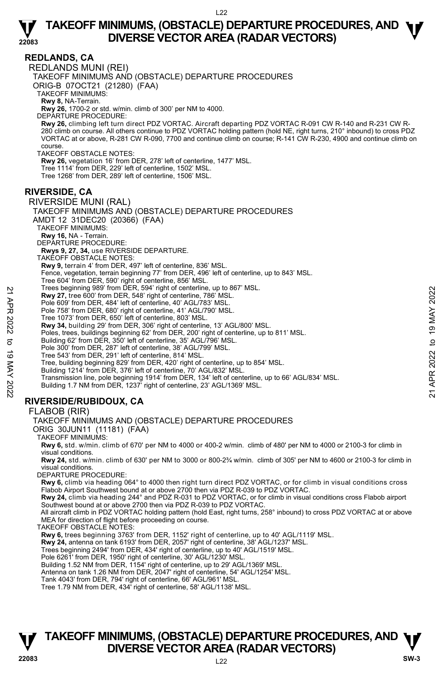

**REDLANDS, CA** 

REDLANDS MUNI (REI)

TAKEOFF MINIMUMS AND (OBSTACLE) DEPARTURE PROCEDURES

ORIG-B 07OCT21 (21280) (FAA)

TAKEOFF MINIMUMS:

**Rwy 8,** NA-Terrain.

**Rwy 26,** 1700-2 or std. w/min. climb of 300' per NM to 4000.

DEPARTURE PROCEDURE:

**Rwy 26,** climbing left turn direct PDZ VORTAC. Aircraft departing PDZ VORTAC R-091 CW R-140 and R-231 CW R-280 climb on course. All others continue to PDZ VORTAC holding pattern (hold NE, right turns, 210° inbound) to cross PDZ<br>VORTAC at or above, R-281 CW R-090, 7700 and continue climb on course; R-141 CW R-230, 4900 and conti course.

TAKEOFF OBSTACLE NOTES:

**Rwy 26,** vegetation 16' from DER, 278' left of centerline, 1477' MSL.

Tree 1114' from DER, 229' left of centerline, 1502' MSL.

Tree 1268' from DER, 289' left of centerline, 1506' MSL.

#### **RIVERSIDE, CA**

RIVERSIDE MUNI (RAL) TAKEOFF MINIMUMS AND (OBSTACLE) DEPARTURE PROCEDURES AMDT 12 31DEC20 (20366) (FAA) TAKEOFF MINIMUMS: **Rwy 16,** NA - Terrain. DEPARTURE PROCEDURE: **Rwys 9, 27, 34,** use RIVERSIDE DEPARTURE. TAKEOFF OBSTACLE NOTES: **Rwy 9,** terrain 4' from DER, 497' left of centerline, 836' MSL. Fence, vegetation, terrain beginning 77' from DER, 496' left of centerline, up to 843' MSL. Tree 604' from DER, 590' right of centerline, 856' MSL. Trees beginning 989' from DER, 594' right of centerline, up to 867' MSL. **Rwy 27,** tree 600' from DER, 548' right of centerline, 786' MSL. Pole 609' from DER, 484' left of centerline, 40' AGL/783' MSL Pole 758' from DER, 680' right of centerline, 41' AGL/790' MSL. Tree 1073' from DER, 650' left of centerline, 803' MSL. **Rwy 34,** building 29' from DER, 306' right of centerline, 13' AGL/800' MSL. Poles, trees, buildings beginning 62' from DER, 200' right of centerline, up to 811' MSL. Building 62' from DER, 350' left of centerline, 35' AGL/796' MSL. Pole 300' from DER, 287' left of centerline, 38' AGL/799' MSL. Tree 543' from DER, 291' left of centerline, 814' MSL. Tree, building beginning 829' from DER, 420' right of centerline, up to 854' MSL. Building 1214' from DER, 376' left of centerline, 70' AGL/832' MSL. Transmission line, pole beginning 1914' from DER, 134' left of centerline, up to 66' AGL/834' MSL. Building 1.7 NM from DER, 1237' right of centerline, 23' AGL/1369' MSL. **RIVERSIDE/RUBIDOUX, CA**  Free Segmining 989' from DER, 494' right of centerline, 26' MSL.<br> **21** Roy 27, tree 600' from DER, 548' right of centerline, 786' MSL.<br>
Pole 609' from DER, 649' right of centerline, 40' AGL/783' MSL.<br>
Pole 758' from DER,

#### FLABOB (RIR)

TAKEOFF MINIMUMS AND (OBSTACLE) DEPARTURE PROCEDURES

ORIG 30JUN11 (11181) (FAA)

TAKEOFF MINIMUMS:

**Rwy 6,** std. w/min. climb of 670' per NM to 4000 or 400-2 w/min. climb of 480' per NM to 4000 or 2100-3 for climb in visual conditions.

**Rwy 24,** std. w/min. climb of 630' per NM to 3000 or 800-2¾ w/min. climb of 305' per NM to 4600 or 2100-3 for climb in visual conditions.

DEPARTURE PROCEDURE:

**Rwy 6,** climb via heading 064° to 4000 then right turn direct PDZ VORTAC, or for climb in visual conditions cross Flabob Airport Southwest bound at or above 2700 then via PDZ R-039 to PDZ VORTAC.

**Rwy 24,** climb via heading 244° and PDZ R-031 to PDZ VORTAC, or for climb in visual conditions cross Flabob airport Southwest bound at or above 2700 then via PDZ R-039 to PDZ VORTAC.

All aircraft climb in PDZ VORTAC holding pattern (hold East, right turns, 258° inbound) to cross PDZ VORTAC at or above MEA for direction of flight before proceeding on course.

TAKEOFF OBSTACLE NOTES:

**Rwy 6,** trees beginning 3763' from DER, 1152' right of centerline, up to 40' AGL/1119' MSL. **Rwy 24,** antenna on tank 6193' from DER, 2057' right of centerline, 38' AGL/1237' MSL.

Trees beginning 2494' from DER, 434' right of centerline, up to 40' AGL/1519' MSL.

Pole 6261' from DER, 1950' right of centerline, 30' AGL/1230' MSL.

Building 1.52 NM from DER, 1154' right of centerline, up to 29' AGL/1369' MSL.

Antenna on tank 1.26 NM from DER, 2047' right of centerline, 54' AGL/1254' MSL.

Tank 4043' from DER, 794' right of centerline, 66' AGL/961' MSL.

Tree 1.79 NM from DER, 434' right of centerline, 58' AGL/1138' MSL.

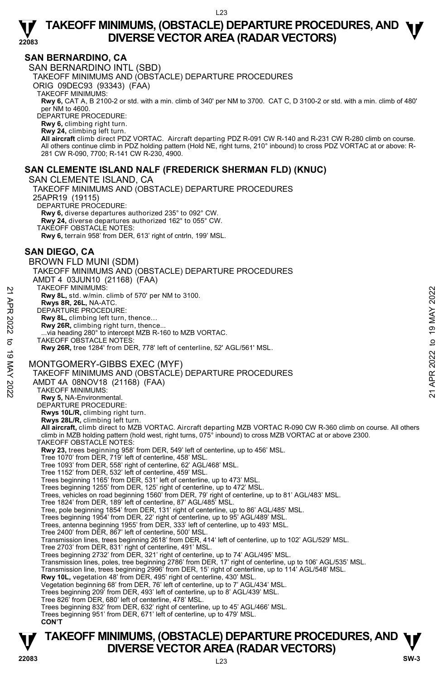

#### **SAN BERNARDINO, CA**

SAN BERNARDINO INTL (SBD) TAKEOFF MINIMUMS AND (OBSTACLE) DEPARTURE PROCEDURES ORIG 09DEC93 (93343) (FAA) TAKEOFF MINIMUMS: **Rwy 6,** CAT A, B 2100-2 or std. with a min. climb of 340' per NM to 3700. CAT C, D 3100-2 or std. with a min. climb of 480'<br>per NM to 4600. DEPARTURE PROCEDURE: **Rwy 6,** climbing right turn. **Rwy 24,** climbing left turn. **All aircraft** climb direct PDZ VORTAC. Aircraft departing PDZ R-091 CW R-140 and R-231 CW R-280 climb on course. All others continue climb in PDZ holding pattern (Hold NE, right turns, 210° inbound) to cross PDZ VORTAC at or above: R-281 CW R-090, 7700; R-141 CW R-230, 4900.

#### **SAN CLEMENTE ISLAND NALF (FREDERICK SHERMAN FLD) (KNUC)**

SAN CLEMENTE ISLAND, CA TAKEOFF MINIMUMS AND (OBSTACLE) DEPARTURE PROCEDURES 25APR19 (19115) DEPARTURE PROCEDURE: **Rwy 6,** diverse departures authorized 235° to 092° CW. **Rwy 24,** diverse departures authorized 162° to 055° CW. TAKEOFF OBSTACLE NOTES: **Rwy 6,** terrain 958' from DER, 613' right of cntrln, 199' MSL.

#### **SAN DIEGO, CA**

BROWN FLD MUNI (SDM) TAKEOFF MINIMUMS AND (OBSTACLE) DEPARTURE PROCEDURES AMDT 4 03JUN10 (21168) (FAA) TAKEOFF MINIMUMS: **Rwy 8L,** std. w/min. climb of 570' per NM to 3100. **Rwys 8R, 26L,** NA-ATC. DEPARTURE PROCEDURE: **Rwy 8L,** climbing left turn, thence… Rwy 26R, climbing right turn, thence. .via heading 280° to intercept MZB R-160 to MZB VORTAC. TAKEOFF OBSTACLE NOTES: **Rwy 26R,** tree 1284' from DER, 778' left of centerline, 52' AGL/561' MSL. MONTGOMERY-GIBBS EXEC (MYF) TAKEOFF MINIMUMS AND (OBSTACLE) DEPARTURE PROCEDURES AMDT 4A 08NOV18 (21168) (FAA) TAKEOFF MINIMUMS: **Rwy 5,** NA-Environmental. DEPARTURE PROCEDURE: **Rwys 10L/R,** climbing right turn. **Rwys 28L/R,** climbing left turn. **All aircraft,** climb direct to MZB VORTAC. Aircraft departing MZB VORTAC R-090 CW R-360 climb on course. All others climb in MZB holding pattern (hold west, right turns, 075° inbound) to cross MZB VORTAC at or above 2300. TAKEOFF OBSTACLE NOTES: **Rwy 23,** trees beginning 958' from DER, 549' left of centerline, up to 456' MSL. Tree 1070' from DER, 719' left of centerline, 458' MSL. Tree 1093' from DER, 558' right of centerline, 62' AGL/468' MSL. Tree 1152' from DER, 532' left of centerline, 459' MSL. Trees beginning 1165' from DER, 531' left of centerline, up to 473' MSL. Trees beginning 1255' from DER, 125' right of centerline, up to 472' MSL. Trees, vehicles on road beginning 1560' from DER, 79' right of centerline, up to 81' AGL/483' MSL. Tree 1824' from DER, 189' left of centerline, 87' AGL/485' MSL. Tree, pole beginning 1854' from DER, 131' right of centerline, up to 86' AGL/485' MSL. Trees beginning 1954' from DER, 22' right of centerline, up to 95' AGL/489' MSL. Trees, antenna beginning 1955' from DER, 333' left of centerline, up to 493' MSL. Tree 2400' from DER, 867' left of centerline, 500' MSL. Transmission lines, trees beginning 2618' from DER, 414' left of centerline, up to 102' AGL/529' MSL. Tree 2703' from DER, 831' right of centerline, 491' MSL. Trees beginning 2732' from DER, 321' right of centerline, up to 74' AGL/495' MSL. Transmission lines, poles, tree beginning 2786' from DER, 17' right of centerline, up to 106' AGL/535' MSL.<br>Transmission line, trees beginning 2996' from DER, 15' right of centerline, up to 114' AGL/548' MSL. **Rwy 10L,** vegetation 48' from DER, 495' right of centerline, 430' MSL. Vegetation beginning 68' from DER, 76' left of centerline, up to 7' AGL/434' MSL. Trees beginning 209' from DER, 493' left of centerline, up to 8' AGL/439' MSL. Tree 826' from DER, 680' left of centerline, 478' MSL. Trees beginning 832' from DER, 632' right of centerline, up to 45' AGL/466' MSL. Trees beginning 951' from DER, 671' left of centerline, up to 479' MSL. **CON'T**  22 TAKEOFF MINIMUMS:<br>
22 ERVS 8R, 26L, NA-ATC.<br>
22 ERVS 8R, 26L, NA-ATC.<br>
22 DEPARTURE PROCEDURE:<br>
22 ERVS 8R, climbing left turn, thence...<br>
22 ERV 26R, climbing right turn, thence...<br>
32 MONTGOMERY-GIBBS EXEC (MYF)<br>
32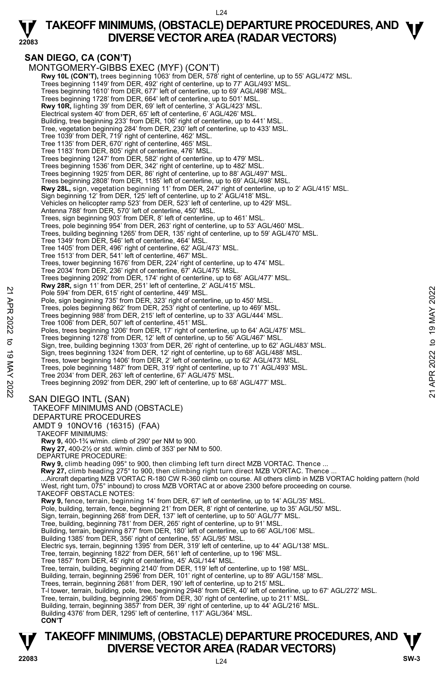

## **TAKEOFF MINIMUMS, (OBSTACLE) DEPARTURE PROCEDURES, AND <b>W**<br>DIVERSE VECTOR AREA (RADAR VECTORS) **DIVERSE VECTOR AREA (RADAR VECTORS)**

### **SAN DIEGO, CA (CON'T)**

MONTGOMERY-GIBBS EXEC (MYF) (CON'T) **Rwy 10L (CON'T),** trees beginning 1063' from DER, 578' right of centerline, up to 55' AGL/472' MSL.<br>Trees beginning 1149' from DER, 492' right of centerline, up to 77' AGL/493' MSL. Trees beginning 1610' from DER, 677' left of centerline, up to 69' AGL/498' MSL. Trees beginning 1728' from DER, 664' left of centerline, up to 501' MSL. **Rwy 10R,** lighting 39' from DER, 69' left of centerline, 3' AGL/423' MSL. Electrical system 40' from DER, 65' left of centerline, 6' AGL/426' MSL. Building, tree beginning 233' from DER, 106' right of centerline, up to 441' MSL. Tree, vegetation beginning 284' from DER, 230' left of centerline, up to 433' MSL. Tree 1039' from DER, 719' right of centerline, 462' MSL. Tree 1135' from DER, 670' right of centerline, 465' MSL. Tree 1183' from DER, 805' right of centerline, 476' MSL.<br>Trees beginning 1247' from DER, 582' right of centerline, up to 479' MSL.<br>Trees beginning 1536' from DER, 342' right of centerline, up to 482' MSL. Trees beginning 1925' from DER, 86' right of centerline, up to 88' AGL/497' MSL. Trees beginning 2808' from DER, 1185' left of centerline, up to 69' AGL/498' MSL.<br>**Rwy 28L,** sign, vegetation beginning 11' from DER, 247' right of centerline, up to 2' AGL/415' MSL. Sign beginning 12' from DER, 125' left of centerline, up to 2' AGL/418' MSL. Vehicles on helicopter ramp 523' from DER, 523' left of centerline, up to 429' MSL. Antenna 788' from DER, 570' left of centerline, 450' MSL. Trees, sign beginning 903' from DER, 8' left of centerline, up to 461' MSL. Trees, pole beginning 954' from DER, 263' right of centerline, up to 53' AGL/460' MSL. Trees, building beginning 1265' from DER, 135' right of centerline, up to 59' AGL/470' MSL. Tree 1349' from DER, 546' left of centerline, 464' MSL. Tree 1405' from DER, 496' right of centerline, 62' AGL/473' MSL. Tree 1513' from DER, 541' left of centerline, 467' MSL. Trees, tower beginning 1676' from DER, 224' right of centerline, up to 474' MSL. Tree 2034' from DER, 236' right of centerline, 67' AGL/475' MSL. Trees beginning 2092' from DER, 174' right of centerline, up to 68' AGL/477' MSL. **Rwy 28R,** sign 11' from DER, 251' left of centerline, 2' AGL/415' MSL. Pole 594' from DER, 615' right of centerline, 449' MSL. Pole, sign beginning 735' from DER, 323' right of centerline, up to 450' MSL Trees, poles beginning 862' from DER, 253' right of centerline, up to 469' MSL. Trees beginning 988' from DER, 215' left of centerline, up to 33' AGL/444' MSL. Tree 1006' from DER, 507' left of centerline, 451' MSL. Poles, trees beginning 1206' from DER, 17' right of centerline, up to 64' AGL/475' MSL. Trees beginning 1278' from DER, 12' left of centerline, up to 56' AGL/467' MSL. Sign, tree, building beginning 1303' from DER, 26' right of centerline, up to 62' AGL/483' MSL. Sign, trees beginning 1324' from DER, 12' right of centerline, up to 68' AGL/488' MSL. Trees, tower beginning 1406' from DER, 2' left of centerline, up to 62' AGL/473' MSL.<br>Trees, pole beginning 1487' from DER, 319' right of centerline, up to 71' AGL/493' MSL.<br>Tree 2034' from DER, 263' left of centerline, 67 Trees beginning 2092' from DER, 290' left of centerline, up to 68' AGL/477' MSL. SAN DIEGO INTL (SAN) TAKEOFF MINIMUMS AND (OBSTACLE) DEPARTURE PROCEDURES AMDT 9 10NOV16 (16315) (FAA) TAKEOFF MINIMUMS: **Rwy 9,** 400-1¾ w/min. climb of 290' per NM to 900. **Rwy 27,** 400-2½ or std. w/min. climb of 353' per NM to 500. DEPARTURE PROCEDURE: **Rwy 9,** climb heading 095° to 900, then climbing left turn direct MZB VORTAC. Thence ... **Rwy 27,** climb heading 275° to 900, then climbing right turn direct MZB VORTAC. Thence ... ...Aircraft departing MZB VORTAC R-180 CW R-360 climb on course. All others climb in MZB VORTAC holding pattern (hold West, right turn, 075° inbound) to cross MZB VORTAC at or above 2300 before proceeding on course. TAKEOFF OBSTACLE NOTES: **Rwy 9,** fence, terrain, beginning 14' from DER, 67' left of centerline, up to 14' AGL/35' MSL.<br>Pole, building, terrain, fence, beginning 21' from DER, 8' right of centerline, up to 35' AGL/50' MSL. Sign, terrain, beginning 268' from DER, 137' left of centerline, up to 50' AGL/77' MSL. Tree, building, beginning 781' from DER, 265' right of centerline, up to 91' MSL. Building, terrain, beginning 877' from DER, 180' left of centerline, up to 66' AGL/106' MSL. Building 1385' from DER, 356' right of centerline, 55' AGL/95' MSL. Electric sys, terrain, beginning 1395' from DER, 319' left of centerline, up to 44' AGL/138' MSL. Tree, terrain, beginning 1822' from DER, 561' left of centerline, up to 196' MSL. Tree 1857' from DER, 45' right of centerline, 45' AGL/144' MSL. Tree, terrain, building, beginning 2140' from DER, 119' left of centerline, up to 198' MSL. Building, terrain, beginning 2596' from DER, 101' right of centerline, up to 89' AGL/158' MSL.<br>Trees, terrain, beginning 2681' from DER, 190' left of centerline, up to 215' MSL. T-l tower, terrain, building, pole, tree, beginning 2948' from DER, 40' left of centerline, up to 67' AGL/272' MSL. Tree, terrain, building, beginning 2965' from DER, 30' right of centerline, up to 211' MSL. Building, terrain, beginning 3857' from DER, 39' right of centerline, up to 44' AGL/216' MSL. Building 4376' from DER, 1295' left of centerline, 117' AGL/364' MSL. **CON'T**  22 Pole 594 from DER, 615 Fight of centerline, 449 MSL.<br>
Pole 594 from DER, 615 Fight of centerline, 449 MSL.<br>
Trees, poles highining 862 from DER, 213 Fight of centerline, up to 469 'MSL.<br>
Trees beginning 862 from DER, 21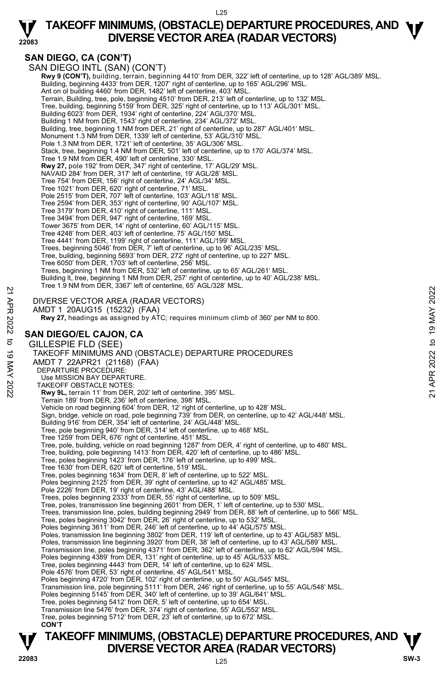

### **SAN DIEGO, CA (CON'T)**

**22083** 

SAN DIEGO INTL (SAN) (CON'T) **Rwy 9 (CON'T),** building, terrain, beginning 4410' from DER, 322' left of centerline, up to 128' AGL/389' MSL.<br>Building, beginning 4433' from DER, 1207' right of centerline, up to 165' AGL/296' MSL. Ant on ol building 4460' from DER, 1482' left of centerline, 403' MSL. Terrain, Building, tree, pole, beginning 4510' from DER, 213' left of centerline, up to 132' MSL. Tree, building, beginning 5159' from DER, 325' right of centerline, up to 113' AGL/301' MSL. Building 6023' from DER, 1934' right of centerline, 224' AGL/370' MSL. Building 1 NM from DER, 1543' right of centerline, 234' AGL/372' MSL. Building, tree, beginning 1 NM from DER, 21' right of centerline, up to 287' AGL/401' MSL. Monument 1.3 NM from DER, 1339' left of centerline, 53' AGL/310' MSL. Pole 1.3 NM from DER, 1721' left of centerline, 35' AGL/306' MSL. Stack, tree, beginning 1.4 NM from DER, 501' left of centerline, up to 170' AGL/374' MSL. Tree 1.9 NM from DER, 490' left of centerline, 330' MSL. **Rwy 27,** pole 192' from DER, 347' right of centerline, 17' AGL/29' MSL. NAVAID 284' from DER, 317' left of centerline, 19' AGL/28' MSL. Tree 754' from DER, 156' right of centerline, 24' AGL/34' MSL. Tree 1021' from DER, 620' right of centerline, 71' MSL. Pole 2515' from DER, 707' left of centerline, 103' AGL/118' MSL. Tree 2594' from DER, 353' right of centerline, 90' AGL/107' MSL. Tree 3179' from DER, 410' right of centerline, 111' MSL. Tree 3494' from DER, 947' right of centerline, 169' MSL. Tower 3675' from DER, 14' right of centerline, 60' AGL/115' MSL. Tree 4248' from DER, 403' left of centerline, 75' AGL/150' MSL. Tree 4441' from DER, 1199' right of centerline, 111' AGL/199' MSL. Trees, beginning 5046' from DER, 7' left of centerline, up to 96' AGL/235' MSL. Tree, building, beginning 5693' from DER, 272' right of centerline, up to 227' MSL. Tree 6050' from DER, 1703' left of centerline, 256' MSL. Trees, beginning 1 NM from DER, 532' left of centerline, up to 65' AGL/261' MSL. Building lt, tree, beginning 1 NM from DER, 257' right of centerline, up to 40' AGL/238' MSL. Tree 1.9 NM from DER, 3367' left of centerline, 65' AGL/328' MSL. DIVERSE VECTOR AREA (RADAR VECTORS) AMDT 1 20AUG15 (15232) (FAA)  **Rwy 27,** headings as assigned by ATC; requires minimum climb of 360' per NM to 800. **SAN DIEGO/EL CAJON, CA**  GILLESPIE FLD (SEE) TAKEOFF MINIMUMS AND (OBSTACLE) DEPARTURE PROCEDURES AMDT 7 22APR21 (21168) (FAA) DEPARTURE PROCEDURE: Use MISSION BAY DEPARTURE. TAKEOFF OBSTACLE NOTES: **Rwy 9L,** terrain 11' from DER, 202' left of centerline, 395' MSL. Terrain 189' from DER, 236' left of centerline, 398' MSL. Vehicle on road beginning 604' from DER, 12' right of centerline, up to 428' MSL. Sign, bridge, vehicle on road, pole beginning 739' from DER, on centerline, up to 42' AGL/448' MSL. Building 916' from DER, 354' left of centerline, 24' AGL/448' MSL. Tree, pole beginning 940' from DER, 314' left of centerline, up to 468' MSL. Tree 1259' from DER, 676' right of centerline, 451' MSL. Tree, pole, building, vehicle on road beginning 1287' from DER, 4' right of centerline, up to 480' MSL. Tree, building, pole beginning 1413' from DER, 420' left of centerline, up to 486' MSL. Tree, poles beginning 1423' from DER, 176' left of centerline, up to 499' MSL. Tree 1630' from DER, 620' left of centerline, 519' MSL. Tree, poles beginning 1634' from DER, 8' left of centerline, up to 522' MSL. Poles beginning 2125' from DER, 39' right of centerline, up to 42' AGL/485' MSL. Pole 2226' from DER, 19' right of centerline, 43' AGL/488' MSL. Trees, poles beginning 2333' from DER, 55' right of centerline, up to 509' MSL. Tree, poles, transmission line beginning 2601' from DER, 1' left of centerline, up to 530' MSL. Trees, transmission line, poles, building beginning 2949' from DER, 88' left of centerline, up to 566' MSL.<br>Tree, poles beginning 3042' from DER, 26' right of centerline, up to 532' MSL. Poles beginning 3611' from DER, 246' left of centerline, up to 44' AGL/575' MSL. Poles, transmission line beginning 3802' from DER, 119' left of centerline, up to 43' AGL/583' MSL.<br>Poles, transmission line beginning 3920' from DER, 38' left of centerline, up to 43' AGL/589' MSL. Transmission line, poles beginning 4371' from DER, 362' left of centerline, up to 62' AGL/594' MSL. Poles beginning 4389' from DER, 131' right of centerline, up to 45' AGL/533' MSL. Tree, poles beginning 4443' from DER, 14' left of centerline, up to 624' MSL. Pole 4576' from DER, 53' right of centerline, 45' AGL/541' MSL. Poles beginning 4720' from DER, 102' right of centerline, up to 50' AGL/545' MSL. Transmission line, pole beginning 5111' from DER, 246' right of centerline, up to 55' AGL/548' MSL.<br>Poles beginning 5145' from DER, 340' left of centerline, up to 39' AGL/641' MSL. Tree, poles beginning 5412' from DER, 5' left of centerline, up to 654' MSL. Transmission line 5476' from DER, 374' right of centerline, 55' AGL/552' MSL. Tree, poles beginning 5712' from DER, 23' left of centerline, up to 672' MSL. **CON'T** 22<br>
22 DIVERSE VECTOR AREA (RADAR VECTORS)<br>
22 DIVERSE VECTOR AREA (RADAR VECTORS)<br>
22 AMDIT 1 20AUG15 (15232) (FAA)<br>
22 Rwy 27, headings as assigned by ATC; requires minimum climb of 360' per NM to 800.<br>
22 **SAN DIEGO/EL**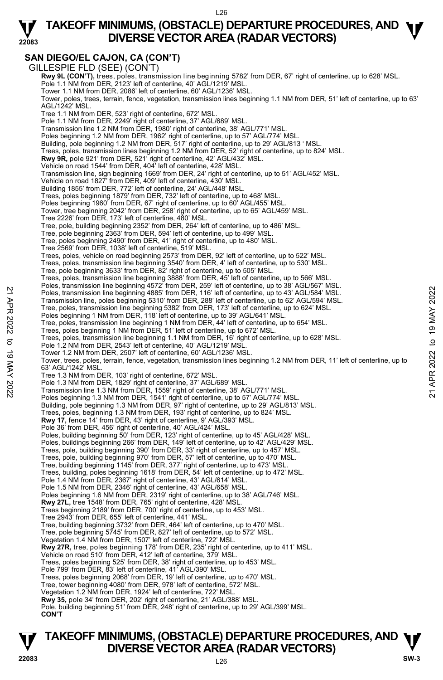## **TAKEOFF MINIMUMS, (OBSTACLE) DEPARTURE PROCEDURES, AND <b>W**<br>DIVERSE VECTOR AREA (RADAR VECTORS) **DIVERSE VECTOR AREA (RADAR VECTORS)**

### **SAN DIEGO/EL CAJON, CA (CON'T)**

**22083** 

GILLESPIE FLD (SEE) (CON'T) **Rwy 9L (CON'T),** trees, poles, transmission line beginning 5782' from DER, 67' right of centerline, up to 628' MSL.<br>Pole 1.1 NM from DER, 2123' left of centerline, 40' AGL/1219' MSL. Tower 1.1 NM from DER, 2086' left of centerline, 60' AGL/1236' MSL. Tower, poles, trees, terrain, fence, vegetation, transmission lines beginning 1.1 NM from DER, 51' left of centerline, up to 63' AGL/1242' MSL. Tree 1.1 NM from DER, 523' right of centerline, 672' MSL. Pole 1.1 NM from DER, 2249' right of centerline, 37' AGL/689' MSL. Transmission line 1.2 NM from DER, 1980' right of centerline, 38' AGL/771' MSL Poles beginning 1.2 NM from DER, 1962' right of centerline, up to 57' AGL/774' MSL. Building, pole beginning 1.2 NM from DER, 517' right of centerline, up to 29' AGL/813 ' MSL. Trees, poles, transmission lines beginning 1.2 NM from DER, 52' right of centerline, up to 824' MSL.<br>**Rwy 9R,** pole 921' from DER, 521' right of centerline, 42' AGL/432' MSL. Vehicle on road 1544' from DER, 404' left of centerline, 428' MSL. Transmission line, sign beginning 1669' from DER, 24' right of centerline, up to 51' AGL/452' MSL. Vehicle on road 1827' from DER, 409' left of centerline, 430' MSL. Building 1855' from DER, 772' left of centerline, 24' AGL/448' MSL. Trees, poles beginning 1879' from DER, 732' left of centerline, up to 468' MSL. Poles beginning 1960' from DER, 67' right of centerline, up to 60' AGL/455' MSL. Tower, tree beginning 2042' from DER, 258' right of centerline, up to 65' AGL/459' MSL. Tree 2226' from DER, 173' left of centerline, 480' MSL. Tree, pole, building beginning 2352' from DER, 264' left of centerline, up to 486' MSL. Tree, pole beginning 2363' from DER, 594' left of centerline, up to 499' MSL. Tree, poles beginning 2490' from DER, 41' right of centerline, up to 480' MSL. Tree 2569' from DER, 1038' left of centerline, 519' MSL. Trees, poles, vehicle on road beginning 2573' from DER, 92' left of centerline, up to 522' MSL. Trees, poles, transmission line beginning 3540' from DER, 4' left of centerline, up to 530' MSL. Tree, pole beginning 3633' from DER, 82' right of centerline, up to 505' MSL. Trees, poles, transmission line beginning 3888' from DER, 45' left of centerline, up to 566' MSL. Poles, transmission line beginning 4572' from DER, 259' left of centerline, up to 38' AGL/567' MSL.<br>Poles, transmission line beginning 4885' from DER, 116' left of centerline, up to 43' AGL/584' MSL. Transmission line, poles beginning 5310' from DER, 288' left of centerline, up to 62' AGL/594' MSL. Tree, poles, transmission line beginning 5382' from DER, 173' left of centerline, up to 624' MSL.<br>Poles beginning 1 NM from DER, 118' left of centerline, up to 39' AGL/641' MSL. Tree, poles, transmission line beginning 1 NM from DER, 44' left of centerline, up to 654' MSL. Trees, poles beginning 1 NM from DER, 51' left of centerline, up to 672' MSL. Trees, poles, transmission line beginning 1.1 NM from DER, 16' right of centerline, up to 628' MSL. Pole 1.2 NM from DER, 2543' left of centerline, 40' AGL/1219' MSL. Tower 1.2 NM from DER, 2507' left of centerline, 60' AGL/1236' MSL. Tower, trees, poles, terrain, fence, vegetation, transmission lines beginning 1.2 NM from DER, 11' left of centerline, up to 63' AGL/1242' MSL. Tree 1.3 NM from DER, 103' right of centerline, 672' MSL. Pole 1.3 NM from DER, 1829' right of centerline, 37' AGL/689' MSL Transmission line 1.3 NM from DER, 1559' right of centerline, 38' AGL/771' MSL. Poles beginning 1.3 NM from DER, 1541' right of centerline, up to 57' AGL/774' MSL. Building, pole beginning 1.3 NM from DER, 97' right of centerline, up to 29' AGL/813' MSL. Trees, poles, beginning 1.3 NM from DER, 193' right of centerline, up to 824' MSL.<br>**Rwy 17,** fence 14' from DER, 43' right of centerline, 9' AGL/393' MSL. Pole 36' from DER, 456' right of centerline, 40' AGL/424' MSL. Poles, building beginning 50' from DER, 123' right of centerline, up to 45' AGL/428' MSL. Poles, buildings beginning 266' from DER, 149' left of centerline, up to 42' AGL/429' MSL. Trees, pole, building beginning 390' from DER, 33' right of centerline, up to 457' MSL. Trees, pole, building beginning 970' from DER, 57' left of centerline, up to 470' MSL. Tree, building beginning 1145' from DER, 377' right of centerline, up to 473' MSL. Trees, building, poles beginning 1618' from DER, 54' left of centerline, up to 472' MSL. Pole 1.4 NM from DER, 2367' right of centerline, 43' AGL/614' MSL. Pole 1.5 NM from DER, 2346' right of centerline, 43' AGL/658' MSL. Poles beginning 1.6 NM from DER, 2319' right of centerline, up to 38' AGL/746' MSL. **Rwy 27L,** tree 1548' from DER, 765' right of centerline, 428' MSL. Trees beginning 2189' from DER, 700' right of centerline, up to 453' MSL. Tree 2943' from DER, 655' left of centerline, 441' MSL. Tree, building beginning 3732' from DER, 464' left of centerline, up to 470' MSL. Tree, pole beginning 5745' from DER, 827' left of centerline, up to 572' MSL. Vegetation 1.4 NM from DER, 1507' left of centerline, 722' MSL. **Rwy 27R,** tree, poles beginning 178' from DER, 235' right of centerline, up to 411' MSL. Vehicle on road 510' from DER, 412' left of centerline, 379' MSL. Trees, poles beginning 525' from DER, 38' right of centerline, up to 453' MSL. Pole 799' from DER, 83' left of centerline, 41' AGL/390' MSL. Trees, poles beginning 2068' from DER, 19' left of centerline, up to 470' MSL. Tree, tower beginning 4080' from DER, 978' left of centerline, 572' MSL. Vegetation 1.2 NM from DER, 1924' left of centerline, 722' MSL. **Rwy 35,** pole 34' from DER, 202' right of centerline, 21' AGL/388' MSL. Pole, building beginning 51' from DER, 248' right of centerline, up to 29' AGL/399' MSL. **CON'T** Poles, transmission line beginning 4885 from DER, 116' left of centerline, up to 43' AGL/584' MSL.<br>
Transmission line, poles beginning 5310' from DER, 2022 to 19: the of centerline, up to 62' AGL/584' MSL.<br>
Transmission li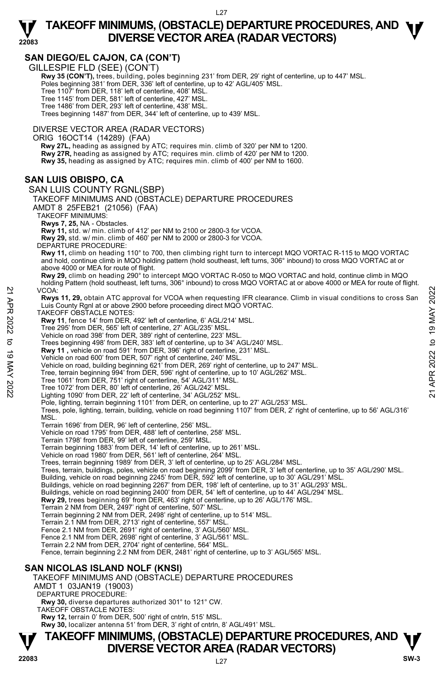## **TAKEOFF MINIMUMS, (OBSTACLE) DEPARTURE PROCEDURES, AND <b>W**<br>DIVERSE VECTOR AREA (RADAR VECTORS) **DIVERSE VECTOR AREA (RADAR VECTORS)**

### **SAN DIEGO/EL CAJON, CA (CON'T)**

GILLESPIE FLD (SEE) (CON'T)

**22083** 

 **Rwy 35 (CON'T),** trees, building, poles beginning 231' from DER, 29' right of centerline, up to 447' MSL. Poles beginning 381' from DER, 336' left of centerline, up to 42' AGL/405' MSL. Tree 1107' from DER, 118' left of centerline, 408' MSL. Tree 1145' from DER, 581' left of centerline, 427' MSL. Tree 1486' from DER, 293' left of centerline, 438' MSL. Trees beginning 1487' from DER, 344' left of centerline, up to 439' MSL.

DIVERSE VECTOR AREA (RADAR VECTORS)

ORIG 16OCT14 (14289) (FAA)

 **Rwy 27L,** heading as assigned by ATC; requires min. climb of 320' per NM to 1200. **Rwy 27R,** heading as assigned by ATC; requires min. climb of 420' per NM to 1200. **Rwy 35,** heading as assigned by ATC; requires min. climb of 400' per NM to 1600.

### **SAN LUIS OBISPO, CA**

SAN LUIS COUNTY RGNL(SBP) TAKEOFF MINIMUMS AND (OBSTACLE) DEPARTURE PROCEDURES AMDT 8 25FEB21 (21056) (FAA) TAKEOFF MINIMUMS: **Rwys 7, 25,** NA - Obstacles. **Rwy 11,** std. w/ min. climb of 412' per NM to 2100 or 2800-3 for VCOA. **Rwy 29,** std. w/ min. climb of 460' per NM to 2000 or 2800-3 for VCOA. DEPARTURE PROCEDURE: **Rwy 11,** climb on heading 110° to 700, then climbing right turn to intercept MQO VORTAC R-115 to MQO VORTAC and hold, continue climb in MQO holding pattern (hold southeast, left turns, 306° inbound) to cross MQO VORTAC at or above 4000 or MEA for route of flight. **Rwy 29,** climb on heading 290° to intercept MQO VORTAC R-050 to MQO VORTAC and hold, continue climb in MQO holding Pattern (hold southeast, left turns, 306° inbound) to cross MQO VORTAC at or above 4000 or MEA for route of flight. VCOA: **Rwys 11, 29,** obtain ATC approval for VCOA when requesting IFR clearance. Climb in visual conditions to cross San Luis County Rgnl at or above 2900 before proceeding direct MQO VORTAC. TAKEOFF OBSTACLE NOTES: **Rwy 11**, fence 14' from DER, 492' left of centerline, 6' AGL/214' MSL. Tree 295' from DER, 565' left of centerline, 27' AGL/235' MSL. Vehicle on road 398' from DER, 389' right of centerline, 223' MSL. Trees beginning 498' from DER, 383' left of centerline, up to 34' AGL/240' MSL. **Rwy 11 ,** vehicle on road 591' from DER, 396' right of centerline, 231' MSL. Vehicle on road 600' from DER, 507' right of centerline, 240' MSL. Vehicle on road, building beginning 621' from DER, 269' right of centerline, up to 247' MSL. Tree, terrain beginning 994' from DER, 596' right of centerline, up to 10' AGL/262' MSL. Tree 1061' from DER, 751' right of centerline, 54' AGL/311' MSL. Tree 1072' from DER, 80' left of centerline, 26' AGL/242' MSL. Lighting 1090' from DER, 22' left of centerline, 34' AGL/252' MSL. Pole, lighting, terrain beginning 1101' from DER, on centerline, up to 27' AGL/253' MSL. Trees, pole, lighting, terrain, building, vehicle on road beginning 1107' from DER, 2' right of centerline, up to 56' AGL/316' MSL. Terrain 1696' from DER, 96' left of centerline, 256' MSL. Vehicle on road 1795' from DER, 488' left of centerline, 258' MSL. Terrain 1798' from DER, 99' left of centerline, 259' MSL. Terrain beginning 1883' from DER, 14' left of centerline, up to 261' MSL. Vehicle on road 1980' from DER, 561' left of centerline, 264' MSL. Trees, terrain beginning 1989' from DER, 3' left of centerline, up to 25' AGL/284' MSL.<br>Trees, terrain, buildings, poles, vehicle on road beginning 2099' from DER, 3' left of centerline, up to 35' AGL/290' MSL. Building, vehicle on road beginning 2245' from DER, 592' left of centerline, up to 30' AGL/291' MSL. Buildings, vehicle on road beginning 2267' from DER, 198' left of centerline, up to 31' AGL/293' MSL. Buildings, vehicle on road beginning 2400' from DER, 54' left of centerline, up to 44' AGL/294' MSL. **Rwy 29,** trees beginning 69' from DER, 463' right of centerline, up to 26' AGL/176' MSL. Terrain 2 NM from DER, 2497' right of centerline, 507' MSL. Terrain beginning 2 NM from DER, 2498' right of centerline, up to 514' MSL. Terrain 2.1 NM from DER, 2713' right of centerline, 557' MSL. Fence 2.1 NM from DER, 2691' right of centerline, 3' AGL/560' MSL. Fence 2.1 NM from DER, 2698' right of centerline, 3' AGL/561' MSL. Terrain 2.2 NM from DER, 2704' right of centerline, 564' MSL. Fence, terrain beginning 2.2 NM from DER, 2481' right of centerline, up to 3' AGL/565' MSL. **SAN NICOLAS ISLAND NOLF (KNSI)**  TAKEOFF MINIMUMS AND (OBSTACLE) DEPARTURE PROCEDURES AMDT 1 03JAN19 (19003) DEPARTURE PROCEDURE: **Rwy 30,** diverse departures authorized 301° to 121° CW. VCOA:<br>
The total Capproval for VCOA when requesting IFR clearance. Climb in visual conditions to cross San<br>
Luis County Rgnl at or above 2900 before proceeding direct MQO VORTAC.<br>
TAKEOFF OBSTACLE NOTES:<br>
THERE to 19 from

TAKEOFF OBSTACLE NOTES:

**Rwy 12,** terrain 0' from DER, 500' right of cntrln, 515' MSL.<br>**Rwy 30,** localizer antenna 51' from DER, 3' right of cntrln, 8' AGL/491' MSL.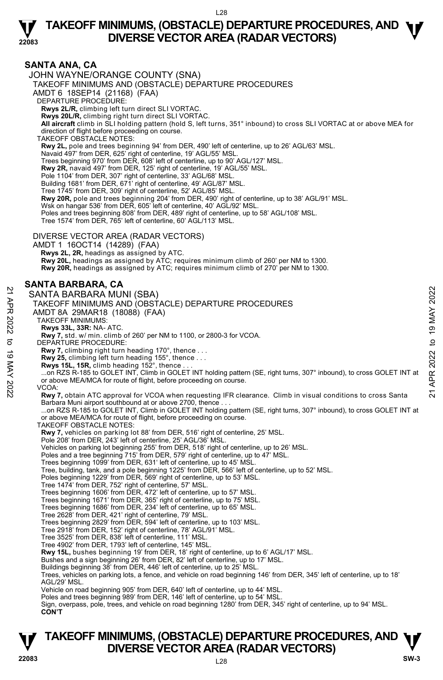

#### **SANTA ANA, CA**  JOHN WAYNE/ORANGE COUNTY (SNA) TAKEOFF MINIMUMS AND (OBSTACLE) DEPARTURE PROCEDURES AMDT 6 18SEP14 (21168) (FAA) DEPARTURE PROCEDURE: **Rwys 2L/R,** climbing left turn direct SLI VORTAC. **Rwys 20L/R,** climbing right turn direct SLI VORTAC. **All aircraft** climb in SLI holding pattern (hold S, left turns, 351° inbound) to cross SLI VORTAC at or above MEA for direction of flight before proceeding on course. TAKEOFF OBSTACLE NOTES: **Rwy 2L,** pole and trees beginning 94' from DER, 490' left of centerline, up to 26' AGL/63' MSL. Navaid 497' from DER, 625' right of centerline, 19' AGL/55' MSL. Trees beginning 970' from DER, 608' left of centerline, up to 90' AGL/127' MSL. **Rwy 2R,** navaid 497' from DER, 125' right of centerline, 19' AGL/55' MSL. Pole 1104' from DER, 307' right of centerline, 33' AGL/68' MSL. Building 1681' from DER, 671' right of centerline, 49' AGL/87' MSL. Tree 1745' from DER, 309' right of centerline, 52' AGL/85' MSL. **Rwy 20R,** pole and trees beginning 204' from DER, 490' right of centerline, up to 38' AGL/91' MSL. Wsk on hangar 536' from DER, 605' left of centerline, 40' AGL/92' MSL Poles and trees beginning 808' from DER, 489' right of centerline, up to 58' AGL/108' MSL. Tree 1574' from DER, 765' left of centerline, 60' AGL/113' MSL. DIVERSE VECTOR AREA (RADAR VECTORS) AMDT 1 16OCT14 (14289) (FAA)  **Rwys 2L, 2R,** headings as assigned by ATC. **Rwy 20L,** headings as assigned by ATC; requires minimum climb of 260' per NM to 1300. **Rwy 20R,** headings as assigned by ATC; requires minimum climb of 270' per NM to 1300. **SANTA BARBARA, CA**  SANTA BARBARA MUNI (SBA) TAKEOFF MINIMUMS AND (OBSTACLE) DEPARTURE PROCEDURES AMDT 8A 29MAR18 (18088) (FAA) TAKEOFF MINIMUMS: **Rwys 33L, 33R:** NA- ATC. **Rwy 7,** std. w/ min. climb of 260' per NM to 1100, or 2800-3 for VCOA. DEPARTURE PROCEDURE: **Rwy 7,** climbing right turn heading 170°, thence . . .  **Rwy 25,** climbing left turn heading 155°, thence . . . **Rwys 15L, 15R,** climb heading 152°, thence . . . ...on RZS R-185 to GOLET INT, Climb in GOLET INT holding pattern (SE, right turns, 307° inbound), to cross GOLET INT at or above MEA/MCA for route of flight, before proceeding on course. VCOA: **Rwy 7,** obtain ATC approval for VCOA when requesting IFR clearance. Climb in visual conditions to cross Santa Barbara Muni airport southbound at or above 2700, thence . . . ...on RZS R-185 to GOLET INT, Climb in GOLET INT holding pattern (SE, right turns, 307° inbound), to cross GOLET INT at or above MEA/MCA for route of flight, before proceeding on course. TAKEOFF OBSTACLE NOTES: **Rwy 7,** vehicles on parking lot 88' from DER, 516' right of centerline, 25' MSL.<br>Pole 208' from DER, 243' left of centerline, 25' AGL/36' MSL. Vehicles on parking lot beginning 255' from DER, 518' right of centerline, up to 26' MSL. Poles and a tree beginning 715' from DER, 579' right of centerline, up to 47' MSL. Trees beginning 1099' from DER, 631' left of centerline, up to 45' MSL. Tree, building, tank, and a pole beginning 1225' from DER, 566' left of centerline, up to 52' MSL. Poles beginning 1229' from DER, 569' right of centerline, up to 53' MSL. Tree 1474' from DER, 752' right of centerline, 57' MSL. Trees beginning 1606' from DER, 472' left of centerline, up to 57' MSL. Trees beginning 1671' from DER, 365' right of centerline, up to 75' MSL. Trees beginning 1686' from DER, 234' left of centerline, up to 65' MSL. Tree 2628' from DER, 421' right of centerline, 79' MSL. Trees beginning 2829' from DER, 594' left of centerline, up to 103' MSL. Tree 2918' from DER, 152' right of centerline, 78' AGL/91' MSL. Tree 3525' from DER, 838' left of centerline, 111' MSL. Tree 4902' from DER, 1793' left of centerline, 145' MSL. **Rwy 15L,** bushes beginning 19' from DER, 18' right of centerline, up to 6' AGL/17' MSL. Bushes and a sign beginning 26' from DER, 82' left of centerline, up to 17' MSL. Buildings beginning 38' from DER, 446' left of centerline, up to 25' MSL. Trees, vehicles on parking lots, a fence, and vehicle on road beginning 146' from DER, 345' left of centerline, up to 18' AGL/29' MSL. Vehicle on road beginning 905' from DER, 640' left of centerline, up to 44' MSL. Poles and trees beginning 989' from DER, 146' left of centerline, up to 54' MSL. Sign, overpass, pole, trees, and vehicle on road beginning 1280' from DER, 345' right of centerline, up to 94' MSL.  **CON'T** 22 CHAIRT AND MINITED DEPARTURE PROCEDURES<br>
22 AMITA BARBARA MUNI (SBA)<br>
22 TAKEOFF MINIMUMS AND (OBSTACLE) DEPARTURE PROCEDURES<br>
22 TAKEOFF MINIMUMS:<br>
22 TAKEOFF MINIMUMS:<br>
22 TAKEOFF MINIMUMS:<br>
22 TAKEOFF MINIMUMS:<br>
23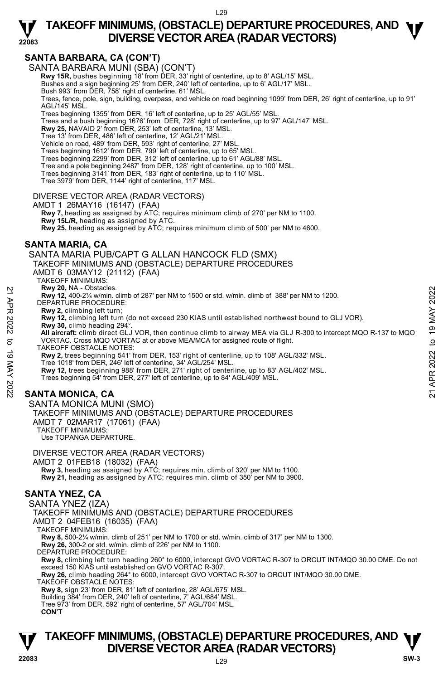### **SANTA BARBARA, CA (CON'T)**

**22083** 

SANTA BARBARA MUNI (SBA) (CON'T)

**Rwy 15R,** bushes beginning 18' from DER, 33' right of centerline, up to 8' AGL/15' MSL.

Bushes and a sign beginning 25' from DER, 240' left of centerline, up to 6' AGL/17' MSL.

Bush 993' from DER, 758' right of centerline, 61' MSL.

Trees, fence, pole, sign, building, overpass, and vehicle on road beginning 1099' from DER, 26' right of centerline, up to 91' AGL/145' MSL.

Trees beginning 1355' from DER, 16' left of centerline, up to 25' AGL/55' MSL. Trees and a bush beginning 1676' from DER, 728' right of centerline, up to 97' AGL/147' MSL.

**Rwy 25,** NAVAID 2' from DER, 253' left of centerline, 13' MSL.

Tree 13' from DER, 486' left of centerline, 12' AGL/21' MSL.

Vehicle on road, 489' from DER, 593' right of centerline, 27' MSL.

Trees beginning 1612' from DER, 799' left of centerline, up to 65' MSL. Trees beginning 2299' from DER, 312' left of centerline, up to 61' AGL/88' MSL.

Tree and a pole beginning 2487' from DER, 128' right of centerline, up to 100' MSL.

Trees beginning 3141' from DER, 183' right of centerline, up to 110' MSL.

Tree 3979' from DER, 1144' right of centerline, 117' MSL.

DIVERSE VECTOR AREA (RADAR VECTORS)

AMDT 1 26MAY16 (16147) (FAA)

 **Rwy 7,** heading as assigned by ATC; requires minimum climb of 270' per NM to 1100. **Rwy 15L/R,** heading as assigned by ATC.

**Rwy 25,** heading as assigned by ATC; requires minimum climb of 500' per NM to 4600.

#### **SANTA MARIA, CA**

SANTA MARIA PUB/CAPT G ALLAN HANCOCK FLD (SMX) TAKEOFF MINIMUMS AND (OBSTACLE) DEPARTURE PROCEDURES

AMDT 6 03MAY12 (21112) (FAA)

TAKEOFF MINIMUMS:

**Rwy 20,** NA - Obstacles.

**Rwy 12,** 400-2¼ w/min. climb of 287' per NM to 1500 or std. w/min. climb of 388' per NM to 1200.

DEPARTURE PROCEDURE:

**Rwy 2,** climbing left turn;

**Rwy 12,** climbing left turn (do not exceed 230 KIAS until established northwest bound to GLJ VOR). **Rwy 30,** climb heading 294°.

 **All aircraft:** climb direct GLJ VOR, then continue climb to airway MEA via GLJ R-300 to intercept MQO R-137 to MQO VORTAC. Cross MQO VORTAC at or above MEA/MCA for assigned route of flight. Revy 20, NA - UDStacies.<br>
22 Revy 21, 400-2% w/min. climb of 287' per NM to 1500 or std. w/min. climb of 388' per NM to 1200.<br>
22 DEPARTURE PROCEDURE:<br>
22 Revy 2. climbing left turn (do not exceed 230 KIAS until establish

TAKEOFF OBSTACLE NOTES:

**Rwy 2,** trees beginning 541' from DER, 153' right of centerline, up to 108' AGL/332' MSL.<br>Tree 1018' from DER, 246' left of centerline, 34' AGL/254' MSL.

**Rwy 12,** trees beginning 988' from DER, 271' right of centerline, up to 83' AGL/402' MSL.

Trees beginning 54' from DER, 277' left of centerline, up to 84' AGL/409' MSL.

### **SANTA MONICA, CA**

SANTA MONICA MUNI (SMO) TAKEOFF MINIMUMS AND (OBSTACLE) DEPARTURE PROCEDURES AMDT 7 02MAR17 (17061) (FAA) TAKEOFF MINIMUMS:

Use TOPANGA DEPARTURE.

DIVERSE VECTOR AREA (RADAR VECTORS)

AMDT 2 01FEB18 (18032) (FAA)

 **Rwy 3,** heading as assigned by ATC; requires min. climb of 320' per NM to 1100. **Rwy 21,** heading as assigned by ATC; requires min. climb of 350' per NM to 3900.

### **SANTA YNEZ, CA**

SANTA YNEZ (IZA)

TAKEOFF MINIMUMS AND (OBSTACLE) DEPARTURE PROCEDURES

AMDT 2 04FEB16 (16035) (FAA)

TAKEOFF MINIMUMS:

**Rwy 8,** 500-2¼ w/min. climb of 251' per NM to 1700 or std. w/min. climb of 317' per NM to 1300.

**Rwy 26,** 300-2 or std. w/min. climb of 226' per NM to 1100.

DEPARTURE PROCEDURE:

**Rwy 8,** climbing left turn heading 260° to 6000, intercept GVO VORTAC R-307 to ORCUT INT/MQO 30.00 DME. Do not<br>exceed 150 KIAS until established on GVO VORTAC R-307.

**Rwy 26,** climb heading 264° to 6000, intercept GVO VORTAC R-307 to ORCUT INT/MQO 30.00 DME.

TAKEOFF OBSTACLE NOTES:

**Rwy 8,** sign 23' from DER, 81' left of centerline, 28' AGL/675' MSL. Building 384' from DER, 240' left of centerline, 7' AGL/684' MSL.

Tree 973' from DER, 592' right of centerline, 57' AGL/704' MSL.

 **CON'T**

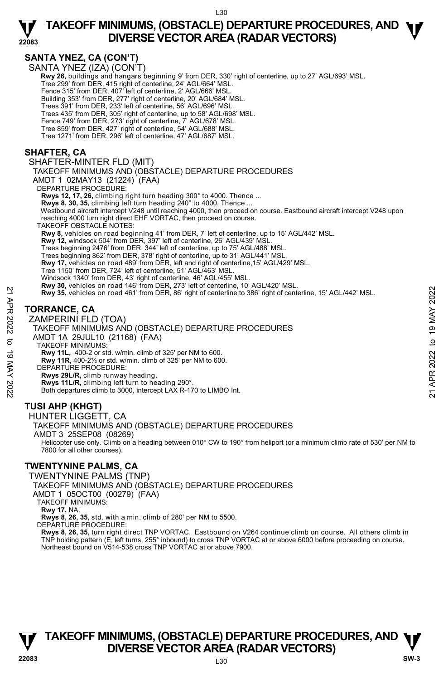## **SANTA YNEZ, CA (CON'T)**

**22083** 

SANTA YNEŹ (IZA) (CON'T)

 **Rwy 26,** buildings and hangars beginning 9' from DER, 330' right of centerline, up to 27' AGL/693' MSL. Tree 299' from DER, 415 right of centerline, 24' AGL/664' MSL. Fence 315' from DER, 407' left of centerline, 2' AGL/666' MSL. Building 353' from DER, 277' right of centerline, 20' AGL/684' MSL. Trees 391' from DER, 233' left of centerline, 56' AGL/696' MSL. Trees 435' from DER, 305' right of centerline, up to 58' AGL/698' MSL. Fence 749' from DER, 273' right of centerline, 7' AGL/678' MSL. Tree 859' from DER, 427' right of centerline, 54' AGL/688' MSL. Tree 1271' from DER, 296' left of centerline, 47' AGL/687' MSL. **SHAFTER, CA** 

#### SHAFTER-MINTER FLD (MIT)

TAKEOFF MINIMUMS AND (OBSTACLE) DEPARTURE PROCEDURES

AMDT 1 02MAY13 (21224) (FAA)

DEPARTURE PROCEDURE:

**Rwys 12, 17, 26,** climbing right turn heading 300° to 4000. Thence ...

Rwys 8, 30, 35, climbing left turn heading 240° to 4000. Thence

 Westbound aircraft intercept V248 until reaching 4000, then proceed on course. Eastbound aircraft intercept V248 upon reaching 4000 turn right direct EHF VORTAC, then proceed on course.

TAKEOFF OBSTACLE NOTES:

**Rwy 8,** vehicles on road beginning 41' from DER, 7' left of centerline, up to 15' AGL/442' MSL. **Rwy 12,** windsock 504' from DER, 397' left of centerline, 26' AGL/439' MSL.

Trees beginning 2476' from DER, 344' left of centerline, up to 75' AGL/488' MSL.

Trees beginning 862' from DER, 378' right of centerline, up to 31' AGL/441' MSL. **Rwy 17,** vehicles on road 489' from DER, left and right of centerline,15' AGL/429' MSL.

Tree 1150' from DER, 724' left of centerline, 51' AGL/463' MSL.

Windsock 1340' from DER, 43' right of centerline, 46' AGL/455' MSL.

**Rwy 30,** vehicles on road 146' from DER, 273' left of centerline, 10' AGL/420' MSL.<br>**Rwy 35,** vehicles on road 461' from DER, 86' right of centerline to 386' right of centerline, 15' AGL/442' MSL.

### **TORRANCE, CA**

ZAMPERINI FLD (TOA) TAKEOFF MINIMUMS AND (OBSTACLE) DEPARTURE PROCEDURES AMDT 1A 29JUL10 (21168) (FAA) TAKEOFF MINIMUMS: **Rwy 11L,** 400-2 or std. w/min. climb of 325' per NM to 600. **Rwy 11R,** 400-2½ or std. w/min. climb of 325' per NM to 600. DEPARTURE PROCEDURE: **Rwys 29L/R,** climb runway heading. **Rwys 11L/R,** climbing left turn to heading 290°. Both departures climb to 3000, intercept LAX R-170 to LIMBO Int. Revy 35, vehicles on road 461' from DER, 86' right of centerline to 386' right of centerline, 15' AGL/442' MSL.<br>
TORRANCE, CA<br>
ZAMPERINI FLD (TOA)<br>
TAKEOFF MINIMUMS AND (OBSTACLE) DEPARTURE PROCEDURES<br>
AMDT 1A 29JUL10 (21

### **TUSI AHP (KHGT)**

#### HUNTER LIGGETT, CA

TAKEOFF MINIMUMS AND (OBSTACLE) DEPARTURE PROCEDURES

AMDT 3 25SEP08 (08269)

 Helicopter use only. Climb on a heading between 010° CW to 190° from heliport (or a minimum climb rate of 530' per NM to 7800 for all other courses).

### **TWENTYNINE PALMS, CA**

TWENTYNINE PALMS (TNP)

TAKEOFF MINIMUMS AND (OBSTACLE) DEPARTURE PROCEDURES

AMDT 1 05OCT00 (00279) (FAA)

TAKEOFF MINIMUMS:

**Rwy 17,** NA.

**Rwys 8, 26, 35,** std. with a min. climb of 280' per NM to 5500.

DEPARTURE PROCEDURE:

**Rwys 8, 26, 35,** turn right direct TNP VORTAC. Eastbound on V264 continue climb on course. All others climb in TNP holding pattern (E, left turns, 255° inbound) to cross TNP VORTAC at or above 6000 before proceeding on course. Northeast bound on V514-538 cross TNP VORTAC at or above 7900.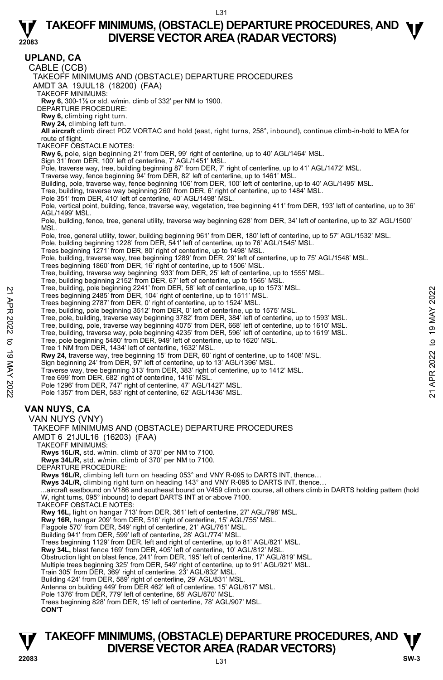**22083 TAKEOFF MINIMUMS, (OBSTACLE) DEPARTURE PROCEDURES, AND**  $\Psi$ **UPLAND, CA**  CABLE (CCB) TAKEOFF MINIMUMS AND (OBSTACLE) DEPARTURE PROCEDURES AMDT 3A 19JUL18 (18200) (FAA) TAKEOFF MINIMUMS: **Rwy 6,** 300-1⅞ or std. w/min. climb of 332' per NM to 1900. DEPARTURE PROCEDURE: **Rwy 6,** climbing right turn. **Rwy 24,** climbing left turn. **All aircraft** climb direct PDZ VORTAC and hold (east, right turns, 258°, inbound), continue climb-in-hold to MEA for route of flight. TAKEOFF OBSTACLE NOTES: **Rwy 6,** pole, sign beginning 21' from DER, 99' right of centerline, up to 40' AGL/1464' MSL.<br>Sign 31' from DER, 100' left of centerline, 7' AGL/1451' MSL. Pole, traverse way, tree, building beginning 87' from DER, 7' right of centerline, up to 41' AGL/1472' MSL. Traverse way, fence beginning 94' from DER, 82' left of centerline, up to 1461' MSL. Building, pole, traverse way, fence beginning 106' from DER, 100' left of centerline, up to 40' AGL/1495' MSL. Tree, building, traverse way beginning 260' from DER, 6' right of centerline, up to 1484' MSL. Pole 351' from DER, 410' left of centerline, 40' AGL/1498' MSL. Pole, vertical point, building, fence, traverse way, vegetation, tree beginning 411' from DER, 193' left of centerline, up to 36' AGL/1499' MSL. Pole, building, fence, tree, general utility, traverse way beginning 628' from DER, 34' left of centerline, up to 32' AGL/1500' MSL. Pole, tree, general utility, tower, building beginning 961' from DER, 180' left of centerline, up to 57' AGL/1532' MSL. Pole, building beginning 1228' from DER, 541' left of centerline, up to 76' AGL/1545' MSL. Trees beginning 1271' from DER, 80' right of centerline, up to 1498' MSL. Pole, building, traverse way, tree beginning 1289' from DER, 29' left of centerline, up to 75' AGL/1548' MSL.<br>Trees beginning 1860' from DER, 16' right of centerline, up to 1506' MSL. Tree, building, traverse way beginning 933' from DER, 25' left of centerline, up to 1555' MSL. Tree, building beginning 2152' from DER, 67' left of centerline, up to 1565' MSL. Tree, building, pole beginning 2241' from DER, 58' left of centerline, up to 1573' MSL. Trees beginning 2485' from DER, 104' right of centerline, up to 1511' MSL. Trees beginning 2787' from DER, 0' right of centerline, up to 1524' MSL. Tree, building, pole beginning 3512' from DER, 0' left of centerline, up to 1575' MSL. Tree, pole, building, traverse way beginning 3782' from DER, 384' left of centerline, up to 1593' MSL.<br>Tree, building, pole, traverse way beginning 4075' from DER, 668' left of centerline, up to 1610' MSL.<br>Tree, puilding, Tree 1 NM from DER, 1434' left of centerline, 1632' MSL. **Rwy 24,** traverse way, tree beginning 15' from DER, 60' right of centerline, up to 1408' MSL.<br>Sign beginning 24' from DER, 97' left of centerline, up to 13' AGL/1396' MSL. Traverse way, tree beginning 313' from DER, 383' right of centerline, up to 1412' MSL. Tree 699' from DER, 682' right of centerline, 1416' MSL. Pole 1296' from DER, 747' right of centerline, 47' AGL/1427' MSL. Pole 1357' from DER, 583' right of centerline, 62' AGL/1436' MSL. **VAN NUYS, CA**  VAN NUYS (VNY) TAKEOFF MINIMUMS AND (OBSTACLE) DEPARTURE PROCEDURES AMDT 6 21JUL16 (16203) (FAA) TAKEOFF MINIMUMS: **Rwys 16L/R,** std. w/min. climb of 370' per NM to 7100. **Rwys 34L/R,** std. w/min. climb of 370' per NM to 7100. DEPARTURE PROCEDURE: **Rwys 16L/R,** climbing left turn on heading 053° and VNY R-095 to DARTS INT, thence… Rwys 34L/R, climbing right turn on heading 143° and VNY R-095 to DARTS INT, thence...<br>...aircraft eastbound on V186 and southeast bound on V459 climb on course, all others climb in DARTS holding pattern (hold W, right turns, 095° inbound) to depart DARTS INT at or above 7100. TAKEOFF OBSTACLE NOTES: **Rwy 16L,** light on hangar 713' from DER, 361' left of centerline, 27' AGL/798' MSL. **Rwy 16R,** hangar 209' from DER, 516' right of centerline, 15' AGL/755' MSL. Flagpole 570' from DER, 549' right of centerline, 21' AGL/761' MSL. Building 941' from DER, 599' left of centerline, 28' AGL/774' MSL. Trees beginning 1129' from DER, left and right of centerline, up to 81' AGL/821' MSL. **Rwy 34L,** blast fence 169' from DER, 405' left of centerline, 10' AGL/812' MSL. Obstruction light on blast fence, 241' from DER, 195' left of centerline, 17' AGL/819' MSL. Multiple trees beginning 325' from DER, 549' right of centerline, up to 91' AGL/921' MSL. Train 305' from DER, 369' right of centerline, 23' AGL/832' MSL. Building 424' from DER, 589' right of centerline, 29' AGL/831' MSL. Antenna on building 449' from DER 462' left of centerline, 15' AGL/817' MSL. Pole 1376' from DER, 779' left of centerline, 68' AGL/870' MSL. Trees beginning 828' from DER, 15' left of centerline, 78' AGL/907' MSL. **CON'T**  Tree, building, pole beginning 242 Trom DER, 302 Tere, 19 to 1973 MSL.<br>
Trees beginning 2185' from DER, 0' right of centerline, up to 1524' MSL.<br>
Tree, building, pole beginning 3782' from DER, 0' right of centerline, up to